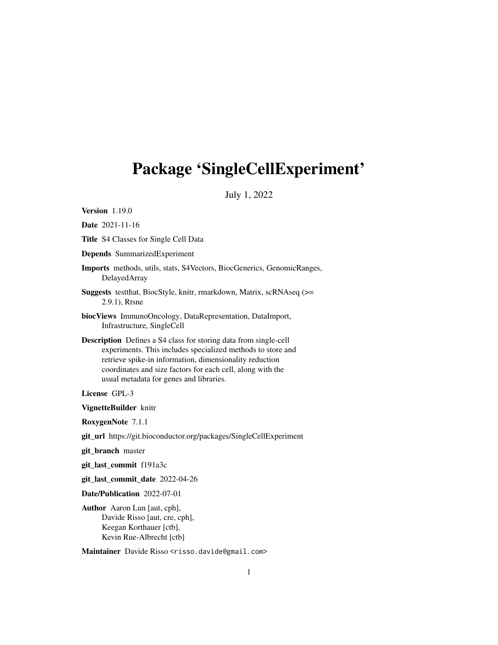## <span id="page-0-0"></span>Package 'SingleCellExperiment'

July 1, 2022

Version 1.19.0

Date 2021-11-16

Title S4 Classes for Single Cell Data

Depends SummarizedExperiment

Imports methods, utils, stats, S4Vectors, BiocGenerics, GenomicRanges, DelayedArray

Suggests testthat, BiocStyle, knitr, rmarkdown, Matrix, scRNAseq (>= 2.9.1), Rtsne

biocViews ImmunoOncology, DataRepresentation, DataImport, Infrastructure, SingleCell

Description Defines a S4 class for storing data from single-cell experiments. This includes specialized methods to store and retrieve spike-in information, dimensionality reduction coordinates and size factors for each cell, along with the usual metadata for genes and libraries.

License GPL-3

VignetteBuilder knitr

RoxygenNote 7.1.1

git\_url https://git.bioconductor.org/packages/SingleCellExperiment

git\_branch master

git\_last\_commit f191a3c

git\_last\_commit\_date 2022-04-26

Date/Publication 2022-07-01

Author Aaron Lun [aut, cph], Davide Risso [aut, cre, cph], Keegan Korthauer [ctb], Kevin Rue-Albrecht [ctb]

Maintainer Davide Risso <risso.davide@gmail.com>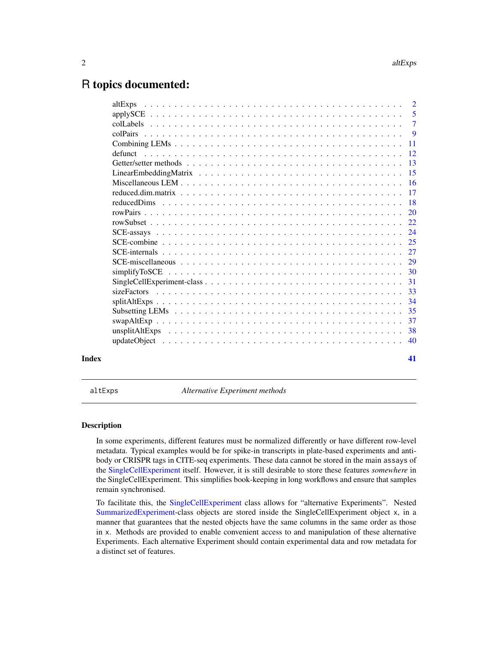## <span id="page-1-0"></span>R topics documented:

| Index | 41 |
|-------|----|

<span id="page-1-1"></span>altExps *Alternative Experiment methods*

### <span id="page-1-2"></span>**Description**

In some experiments, different features must be normalized differently or have different row-level metadata. Typical examples would be for spike-in transcripts in plate-based experiments and antibody or CRISPR tags in CITE-seq experiments. These data cannot be stored in the main assays of the [SingleCellExperiment](#page-30-1) itself. However, it is still desirable to store these features *somewhere* in the SingleCellExperiment. This simplifies book-keeping in long workflows and ensure that samples remain synchronised.

To facilitate this, the [SingleCellExperiment](#page-30-1) class allows for "alternative Experiments". Nested [SummarizedExperiment-](#page-0-0)class objects are stored inside the SingleCellExperiment object x, in a manner that guarantees that the nested objects have the same columns in the same order as those in x. Methods are provided to enable convenient access to and manipulation of these alternative Experiments. Each alternative Experiment should contain experimental data and row metadata for a distinct set of features.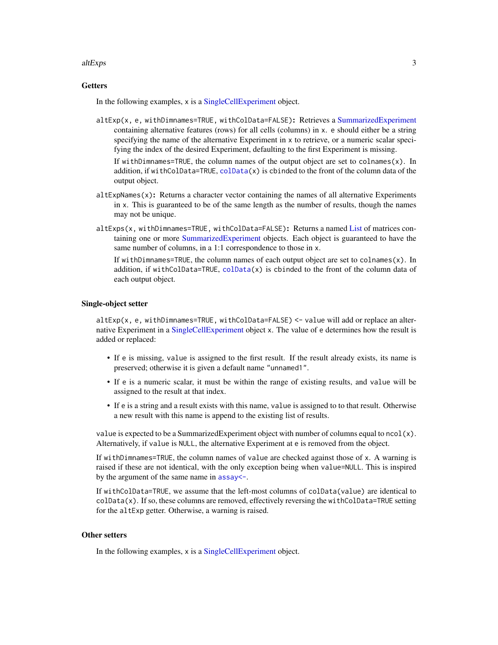#### <span id="page-2-0"></span>altExps 3

### **Getters**

In the following examples, x is a [SingleCellExperiment](#page-30-1) object.

altExp(x, e, withDimnames=TRUE, withColData=FALSE): Retrieves a [SummarizedExperiment](#page-0-0) containing alternative features (rows) for all cells (columns) in x. e should either be a string specifying the name of the alternative Experiment in x to retrieve, or a numeric scalar specifying the index of the desired Experiment, defaulting to the first Experiment is missing.

If withDimnames=TRUE, the column names of the output object are set to colnames $(x)$ . In addition, if withColData=TRUE,  $\text{colData}(x)$  is cbinded to the front of the column data of the output object.

- $altExpNames(x)$ : Returns a character vector containing the names of all alternative Experiments in x. This is guaranteed to be of the same length as the number of results, though the names may not be unique.
- altExps(x, withDimnames=TRUE, withColData=FALSE): Returns a named [List](#page-0-0) of matrices containing one or more [SummarizedExperiment](#page-0-0) objects. Each object is guaranteed to have the same number of columns, in a 1:1 correspondence to those in x.

If withDimnames=TRUE, the column names of each output object are set to colnames(x). In addition, if withColData=TRUE, [colData\(](#page-0-0)x) is cbinded to the front of the column data of each output object.

### Single-object setter

altExp(x, e, withDimnames=TRUE, withColData=FALSE) <- value will add or replace an alternative Experiment in a [SingleCellExperiment](#page-30-1) object x. The value of e determines how the result is added or replaced:

- If e is missing, value is assigned to the first result. If the result already exists, its name is preserved; otherwise it is given a default name "unnamed1".
- If e is a numeric scalar, it must be within the range of existing results, and value will be assigned to the result at that index.
- If e is a string and a result exists with this name, value is assigned to to that result. Otherwise a new result with this name is append to the existing list of results.

value is expected to be a SummarizedExperiment object with number of columns equal to  $ncol(x)$ . Alternatively, if value is NULL, the alternative Experiment at e is removed from the object.

If withDimnames=TRUE, the column names of value are checked against those of x. A warning is raised if these are not identical, with the only exception being when value=NULL. This is inspired by the argument of the same name in assay <-.

If withColData=TRUE, we assume that the left-most columns of colData(value) are identical to colData(x). If so, these columns are removed, effectively reversing the withColData=TRUE setting for the altExp getter. Otherwise, a warning is raised.

#### Other setters

In the following examples, x is a [SingleCellExperiment](#page-30-1) object.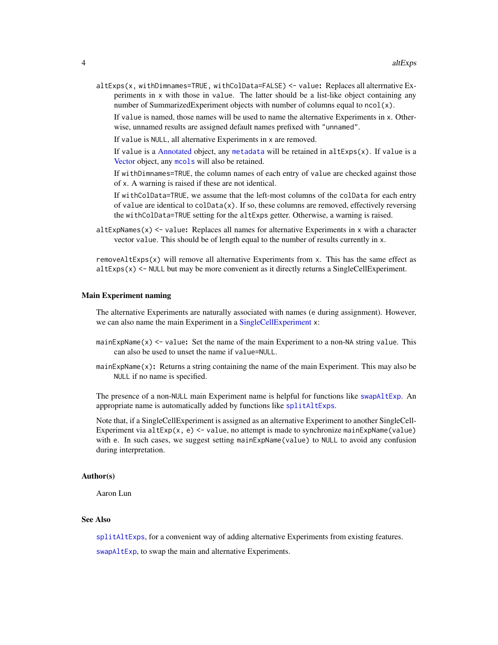<span id="page-3-0"></span>altExps(x, withDimnames=TRUE, withColData=FALSE) <- value: Replaces all alterrnative Experiments in x with those in value. The latter should be a list-like object containing any number of SummarizedExperiment objects with number of columns equal to  $ncol(x)$ .

If value is named, those names will be used to name the alternative Experiments in x. Otherwise, unnamed results are assigned default names prefixed with "unnamed".

If value is NULL, all alternative Experiments in x are removed.

If value is a [Annotated](#page-0-0) object, any [metadata](#page-0-0) will be retained in  $altExpress(x)$ . If value is a [Vector](#page-0-0) object, any [mcols](#page-0-0) will also be retained.

If withDimnames=TRUE, the column names of each entry of value are checked against those of x. A warning is raised if these are not identical.

If withColData=TRUE, we assume that the left-most columns of the colData for each entry of value are identical to  $\text{colData}(x)$ . If so, these columns are removed, effectively reversing the withColData=TRUE setting for the altExps getter. Otherwise, a warning is raised.

altExpNames(x)  $\le$  value: Replaces all names for alternative Experiments in x with a character vector value. This should be of length equal to the number of results currently in x.

removeAltExps $(x)$  will remove all alternative Experiments from x. This has the same effect as  $altExpress(x) \leq NULL$  but may be more convenient as it directly returns a SingleCellExperiment.

#### Main Experiment naming

The alternative Experiments are naturally associated with names (e during assignment). However, we can also name the main Experiment in a [SingleCellExperiment](#page-30-1) x:

- mainExpName(x) <- value: Set the name of the main Experiment to a non-NA string value. This can also be used to unset the name if value=NULL.
- mainExpName $(x)$ : Returns a string containing the name of the main Experiment. This may also be NULL if no name is specified.

The presence of a non-NULL main Experiment name is helpful for functions like [swapAltExp](#page-36-1). An appropriate name is automatically added by functions like [splitAltExps](#page-33-1).

Note that, if a SingleCellExperiment is assigned as an alternative Experiment to another SingleCell-Experiment via  $altExp(x, e) < -$  value, no attempt is made to synchronize mainExpName(value) with e. In such cases, we suggest setting mainExpName(value) to NULL to avoid any confusion during interpretation.

#### Author(s)

Aaron Lun

### See Also

[splitAltExps](#page-33-1), for a convenient way of adding alternative Experiments from existing features.

[swapAltExp](#page-36-1), to swap the main and alternative Experiments.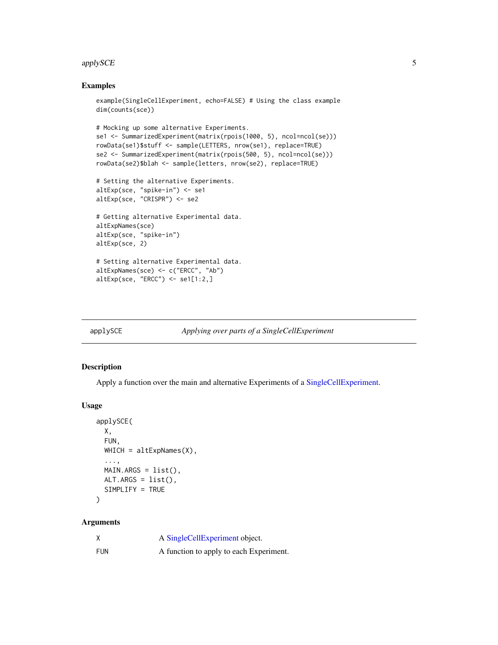#### <span id="page-4-0"></span>applySCE 5

### Examples

```
example(SingleCellExperiment, echo=FALSE) # Using the class example
dim(counts(sce))
# Mocking up some alternative Experiments.
se1 <- SummarizedExperiment(matrix(rpois(1000, 5), ncol=ncol(se)))
rowData(se1)$stuff <- sample(LETTERS, nrow(se1), replace=TRUE)
se2 <- SummarizedExperiment(matrix(rpois(500, 5), ncol=ncol(se)))
rowData(se2)$blah <- sample(letters, nrow(se2), replace=TRUE)
# Setting the alternative Experiments.
altExp(sce, "spike-in") <- se1
altExp(sce, "CRISPR") <- se2
# Getting alternative Experimental data.
altExpNames(sce)
altExp(sce, "spike-in")
altExp(sce, 2)
# Setting alternative Experimental data.
altExpNames(sce) <- c("ERCC", "Ab")
altExp(sce, "ERCC") <- se1[1:2,]
```
<span id="page-4-1"></span>applySCE *Applying over parts of a SingleCellExperiment*

|  |  |  | Applying over parts of a SingleCellExperiment |
|--|--|--|-----------------------------------------------|

### Description

Apply a function over the main and alternative Experiments of a [SingleCellExperiment.](#page-30-1)

#### Usage

```
applySCE(
 X,
  FUN,
  WHICH = altExpNames(X),...,
 MAIN.ARGS = list(),
 ALT.ARGS = list(),
  SIMPLIFY = TRUE
)
```
#### Arguments

| X          | A SingleCellExperiment object.          |
|------------|-----------------------------------------|
| <b>FUN</b> | A function to apply to each Experiment. |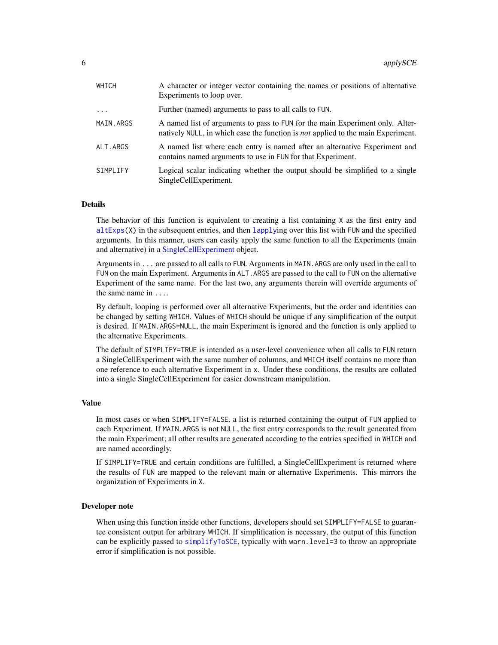<span id="page-5-0"></span>

| WHICH     | A character or integer vector containing the names or positions of alternative<br>Experiments to loop over.                                                              |
|-----------|--------------------------------------------------------------------------------------------------------------------------------------------------------------------------|
| $\ddots$  | Further (named) arguments to pass to all calls to FUN.                                                                                                                   |
| MAIN.ARGS | A named list of arguments to pass to FUN for the main Experiment only. Alter-<br>natively NULL, in which case the function is <i>not</i> applied to the main Experiment. |
| ALT.ARGS  | A named list where each entry is named after an alternative Experiment and<br>contains named arguments to use in FUN for that Experiment.                                |
| SIMPLIFY  | Logical scalar indicating whether the output should be simplified to a single<br>SingleCellExperiment.                                                                   |

#### Details

The behavior of this function is equivalent to creating a list containing X as the first entry and altExps $(X)$  in the subsequent entries, and then [lapply](#page-0-0)ing over this list with FUN and the specified arguments. In this manner, users can easily apply the same function to all the Experiments (main and alternative) in a [SingleCellExperiment](#page-30-1) object.

Arguments in ... are passed to all calls to FUN. Arguments in MAIN.ARGS are only used in the call to FUN on the main Experiment. Arguments in ALT.ARGS are passed to the call to FUN on the alternative Experiment of the same name. For the last two, any arguments therein will override arguments of the same name in ....

By default, looping is performed over all alternative Experiments, but the order and identities can be changed by setting WHICH. Values of WHICH should be unique if any simplification of the output is desired. If MAIN.ARGS=NULL, the main Experiment is ignored and the function is only applied to the alternative Experiments.

The default of SIMPLIFY=TRUE is intended as a user-level convenience when all calls to FUN return a SingleCellExperiment with the same number of columns, and WHICH itself contains no more than one reference to each alternative Experiment in x. Under these conditions, the results are collated into a single SingleCellExperiment for easier downstream manipulation.

### Value

In most cases or when SIMPLIFY=FALSE, a list is returned containing the output of FUN applied to each Experiment. If MAIN.ARGS is not NULL, the first entry corresponds to the result generated from the main Experiment; all other results are generated according to the entries specified in WHICH and are named accordingly.

If SIMPLIFY=TRUE and certain conditions are fulfilled, a SingleCellExperiment is returned where the results of FUN are mapped to the relevant main or alternative Experiments. This mirrors the organization of Experiments in X.

#### Developer note

When using this function inside other functions, developers should set SIMPLIFY=FALSE to guarantee consistent output for arbitrary WHICH. If simplification is necessary, the output of this function can be explicitly passed to [simplifyToSCE](#page-29-1), typically with warn.level=3 to throw an appropriate error if simplification is not possible.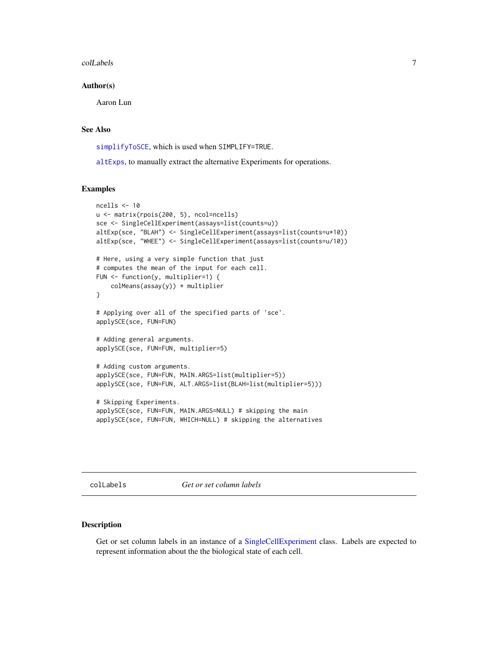#### <span id="page-6-0"></span>colLabels 7

#### Author(s)

Aaron Lun

### See Also

[simplifyToSCE](#page-29-1), which is used when SIMPLIFY=TRUE.

[altExps](#page-1-1), to manually extract the alternative Experiments for operations.

#### Examples

```
ncells <- 10
u <- matrix(rpois(200, 5), ncol=ncells)
sce <- SingleCellExperiment(assays=list(counts=u))
altExp(sce, "BLAH") <- SingleCellExperiment(assays=list(counts=u*10))
altExp(sce, "WHEE") <- SingleCellExperiment(assays=list(counts=u/10))
# Here, using a very simple function that just
# computes the mean of the input for each cell.
FUN <- function(y, multiplier=1) {
    colMeans(assign(y)) * multiplier}
# Applying over all of the specified parts of 'sce'.
applySCE(sce, FUN=FUN)
# Adding general arguments.
applySCE(sce, FUN=FUN, multiplier=5)
# Adding custom arguments.
applySCE(sce, FUN=FUN, MAIN.ARGS=list(multiplier=5))
applySCE(sce, FUN=FUN, ALT.ARGS=list(BLAH=list(multiplier=5)))
# Skipping Experiments.
applySCE(sce, FUN=FUN, MAIN.ARGS=NULL) # skipping the main
applySCE(sce, FUN=FUN, WHICH=NULL) # skipping the alternatives
```
<span id="page-6-1"></span>colLabels *Get or set column labels*

#### Description

Get or set column labels in an instance of a [SingleCellExperiment](#page-30-1) class. Labels are expected to represent information about the the biological state of each cell.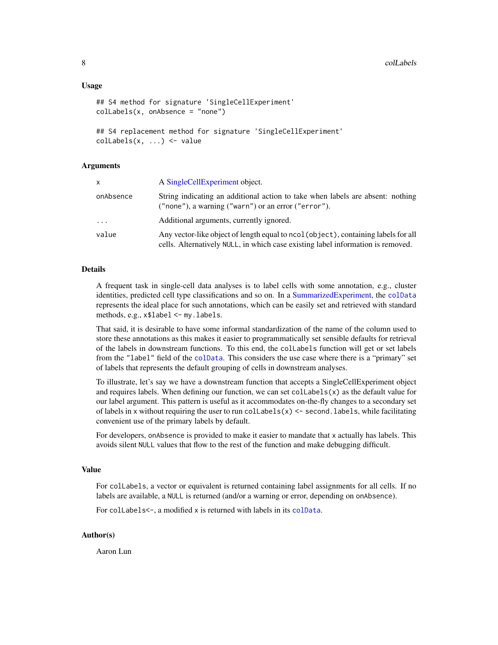#### <span id="page-7-0"></span>Usage

```
## S4 method for signature 'SingleCellExperiment'
colLabels(x, onAbsence = "none")
## S4 replacement method for signature 'SingleCellExperiment'
colLabels(x, ...) <- value
```
#### Arguments

| X         | A Single Cell Experiment object.                                                                                                                                      |
|-----------|-----------------------------------------------------------------------------------------------------------------------------------------------------------------------|
| onAbsence | String indicating an additional action to take when labels are absent: nothing<br>$("none"), a warning ("warn") or an error ("error").$                               |
| $\cdots$  | Additional arguments, currently ignored.                                                                                                                              |
| value     | Any vector-like object of length equal to ncol (object), containing labels for all<br>cells. Alternatively NULL, in which case existing label information is removed. |

### Details

A frequent task in single-cell data analyses is to label cells with some annotation, e.g., cluster identities, predicted cell type classifications and so on. In a [SummarizedExperiment,](#page-0-0) the [colData](#page-0-0) represents the ideal place for such annotations, which can be easily set and retrieved with standard methods, e.g., x\$label <- my.labels.

That said, it is desirable to have some informal standardization of the name of the column used to store these annotations as this makes it easier to programmatically set sensible defaults for retrieval of the labels in downstream functions. To this end, the colLabels function will get or set labels from the "label" field of the [colData](#page-0-0). This considers the use case where there is a "primary" set of labels that represents the default grouping of cells in downstream analyses.

To illustrate, let's say we have a downstream function that accepts a SingleCellExperiment object and requires labels. When defining our function, we can set  $collabels(x)$  as the default value for our label argument. This pattern is useful as it accommodates on-the-fly changes to a secondary set of labels in x without requiring the user to run collabels( $x$ ) <- second. labels, while facilitating convenient use of the primary labels by default.

For developers, onAbsence is provided to make it easier to mandate that x actually has labels. This avoids silent NULL values that flow to the rest of the function and make debugging difficult.

### Value

For colLabels, a vector or equivalent is returned containing label assignments for all cells. If no labels are available, a NULL is returned (and/or a warning or error, depending on onAbsence).

For collabels<-, a modified x is returned with labels in its [colData](#page-0-0).

#### Author(s)

Aaron Lun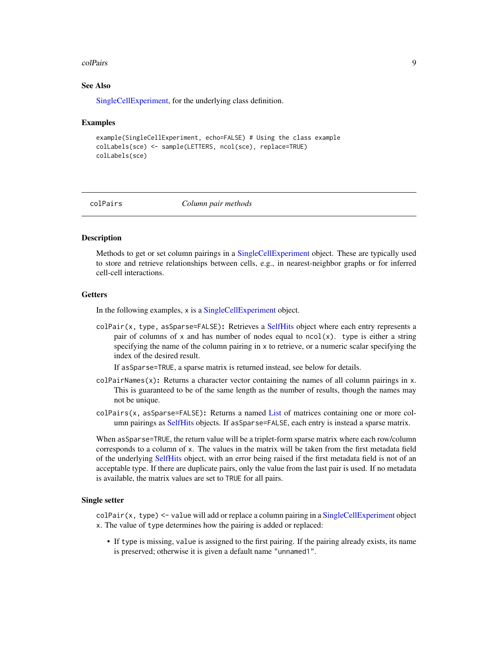#### <span id="page-8-0"></span>colPairs 9

### See Also

[SingleCellExperiment,](#page-30-1) for the underlying class definition.

#### Examples

```
example(SingleCellExperiment, echo=FALSE) # Using the class example
colLabels(sce) <- sample(LETTERS, ncol(sce), replace=TRUE)
colLabels(sce)
```
<span id="page-8-1"></span>

colPairs *Column pair methods*

### Description

Methods to get or set column pairings in a [SingleCellExperiment](#page-30-1) object. These are typically used to store and retrieve relationships between cells, e.g., in nearest-neighbor graphs or for inferred cell-cell interactions.

### **Getters**

In the following examples, x is a [SingleCellExperiment](#page-30-1) object.

colPair(x, type, asSparse=FALSE): Retrieves a [SelfHits](#page-0-0) object where each entry represents a pair of columns of x and has number of nodes equal to  $ncol(x)$ . type is either a string specifying the name of the column pairing in x to retrieve, or a numeric scalar specifying the index of the desired result.

If asSparse=TRUE, a sparse matrix is returned instead, see below for details.

- $colPairNames(x)$ : Returns a character vector containing the names of all column pairings in x. This is guaranteed to be of the same length as the number of results, though the names may not be unique.
- colPairs(x, asSparse=FALSE): Returns a named [List](#page-0-0) of matrices containing one or more column pairings as [SelfHits](#page-0-0) objects. If asSparse=FALSE, each entry is instead a sparse matrix.

When asSparse=TRUE, the return value will be a triplet-form sparse matrix where each row/column corresponds to a column of x. The values in the matrix will be taken from the first metadata field of the underlying [SelfHits](#page-0-0) object, with an error being raised if the first metadata field is not of an acceptable type. If there are duplicate pairs, only the value from the last pair is used. If no metadata is available, the matrix values are set to TRUE for all pairs.

#### Single setter

colPair(x, type) <- value will add or replace a column pairing in a [SingleCellExperiment](#page-30-1) object x. The value of type determines how the pairing is added or replaced:

• If type is missing, value is assigned to the first pairing. If the pairing already exists, its name is preserved; otherwise it is given a default name "unnamed1".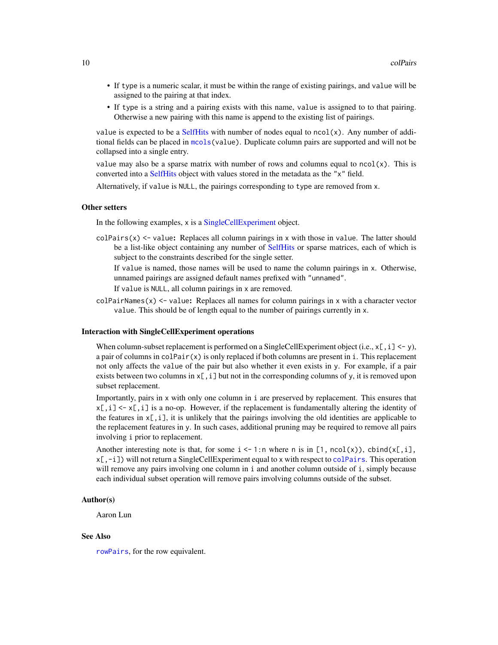- <span id="page-9-0"></span>• If type is a numeric scalar, it must be within the range of existing pairings, and value will be assigned to the pairing at that index.
- If type is a string and a pairing exists with this name, value is assigned to to that pairing. Otherwise a new pairing with this name is append to the existing list of pairings.

value is expected to be a [SelfHits](#page-0-0) with number of nodes equal to  $ncol(x)$ . Any number of additional fields can be placed in [mcols\(](#page-0-0)value). Duplicate column pairs are supported and will not be collapsed into a single entry.

value may also be a sparse matrix with number of rows and columns equal to  $ncol(x)$ . This is converted into a [SelfHits](#page-0-0) object with values stored in the metadata as the "x" field.

Alternatively, if value is NULL, the pairings corresponding to type are removed from x.

#### Other setters

In the following examples, x is a [SingleCellExperiment](#page-30-1) object.

 $colPairs(x) \leftarrow value$ : Replaces all column pairings in x with those in value. The latter should be a list-like object containing any number of [SelfHits](#page-0-0) or sparse matrices, each of which is subject to the constraints described for the single setter.

If value is named, those names will be used to name the column pairings in x. Otherwise, unnamed pairings are assigned default names prefixed with "unnamed".

If value is NULL, all column pairings in x are removed.

 $colPairNames(x) \leq value$ : Replaces all names for column pairings in x with a character vector value. This should be of length equal to the number of pairings currently in x.

### Interaction with SingleCellExperiment operations

When column-subset replacement is performed on a SingleCellExperiment object (i.e.,  $x$ [, i] <- y), a pair of columns in  $colPair(x)$  is only replaced if both columns are present in i. This replacement not only affects the value of the pair but also whether it even exists in y. For example, if a pair exists between two columns in  $x$ [, i] but not in the corresponding columns of y, it is removed upon subset replacement.

Importantly, pairs in x with only one column in i are preserved by replacement. This ensures that  $x[, i] \leq x[, i]$  is a no-op. However, if the replacement is fundamentally altering the identity of the features in  $x[\cdot, i]$ , it is unlikely that the pairings involving the old identities are applicable to the replacement features in y. In such cases, additional pruning may be required to remove all pairs involving i prior to replacement.

Another interesting note is that, for some  $i \le -1$ :n where n is in [1, ncol(x)), cbind(x[,i], x[,-i]) will not return a SingleCellExperiment equal to x with respect to [colPairs](#page-8-1). This operation will remove any pairs involving one column in i and another column outside of i, simply because each individual subset operation will remove pairs involving columns outside of the subset.

#### Author(s)

Aaron Lun

#### See Also

[rowPairs](#page-19-1), for the row equivalent.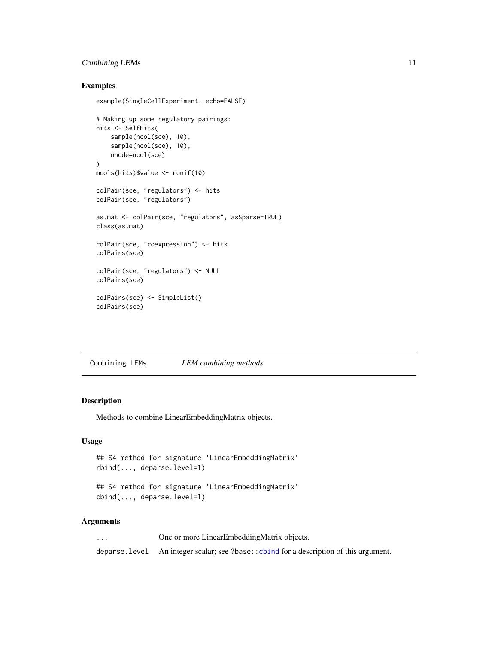### <span id="page-10-0"></span>Combining LEMs 11

### Examples

```
example(SingleCellExperiment, echo=FALSE)
# Making up some regulatory pairings:
hits <- SelfHits(
    sample(ncol(sce), 10),
    sample(ncol(sce), 10),
   nnode=ncol(sce)
\lambdamcols(hits)$value <- runif(10)
colPair(sce, "regulators") <- hits
colPair(sce, "regulators")
as.mat <- colPair(sce, "regulators", asSparse=TRUE)
class(as.mat)
colPair(sce, "coexpression") <- hits
colPairs(sce)
colPair(sce, "regulators") <- NULL
colPairs(sce)
colPairs(sce) <- SimpleList()
colPairs(sce)
```
Combining LEMs *LEM combining methods*

### Description

Methods to combine LinearEmbeddingMatrix objects.

### Usage

```
## S4 method for signature 'LinearEmbeddingMatrix'
rbind(..., deparse.level=1)
```

```
## S4 method for signature 'LinearEmbeddingMatrix'
cbind(..., deparse.level=1)
```
### Arguments

| $\cdots$ | One or more LinearEmbeddingMatrix objects.                                              |
|----------|-----------------------------------------------------------------------------------------|
|          | deparse. level An integer scalar; see ?base:: cbind for a description of this argument. |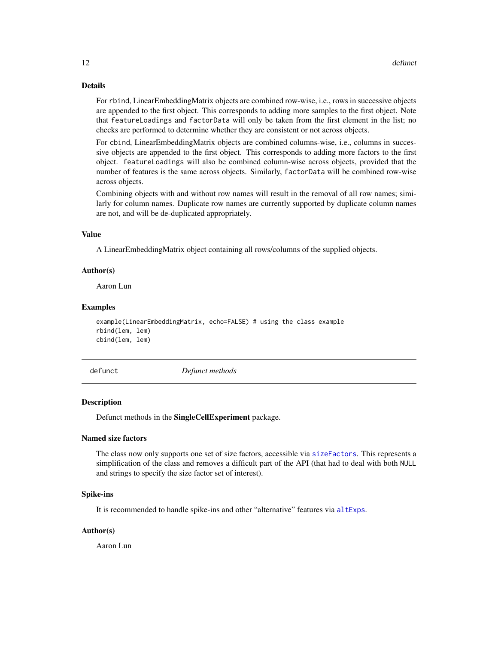#### Details

For rbind, LinearEmbeddingMatrix objects are combined row-wise, i.e., rows in successive objects are appended to the first object. This corresponds to adding more samples to the first object. Note that featureLoadings and factorData will only be taken from the first element in the list; no checks are performed to determine whether they are consistent or not across objects.

For cbind, LinearEmbeddingMatrix objects are combined columns-wise, i.e., columns in successive objects are appended to the first object. This corresponds to adding more factors to the first object. featureLoadings will also be combined column-wise across objects, provided that the number of features is the same across objects. Similarly, factorData will be combined row-wise across objects.

Combining objects with and without row names will result in the removal of all row names; similarly for column names. Duplicate row names are currently supported by duplicate column names are not, and will be de-duplicated appropriately.

#### Value

A LinearEmbeddingMatrix object containing all rows/columns of the supplied objects.

#### Author(s)

Aaron Lun

#### Examples

```
example(LinearEmbeddingMatrix, echo=FALSE) # using the class example
rbind(lem, lem)
cbind(lem, lem)
```
defunct *Defunct methods*

#### Description

Defunct methods in the SingleCellExperiment package.

#### Named size factors

The class now only supports one set of size factors, accessible via [sizeFactors](#page-32-1). This represents a simplification of the class and removes a difficult part of the API (that had to deal with both NULL and strings to specify the size factor set of interest).

#### Spike-ins

It is recommended to handle spike-ins and other "alternative" features via [altExps](#page-1-1).

#### Author(s)

Aaron Lun

<span id="page-11-0"></span>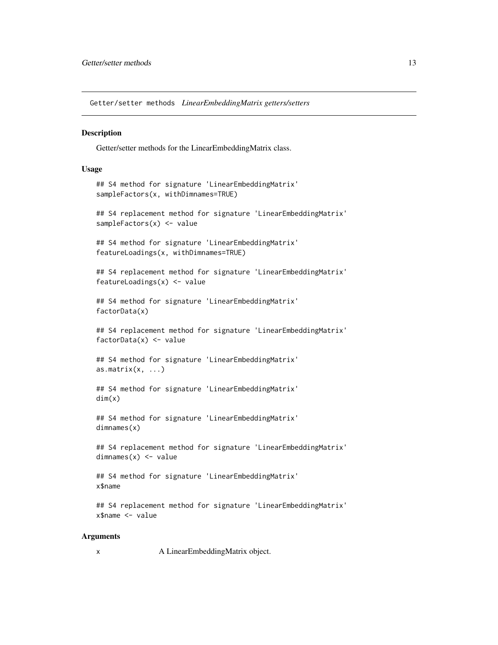<span id="page-12-0"></span>Getter/setter methods *LinearEmbeddingMatrix getters/setters*

#### **Description**

Getter/setter methods for the LinearEmbeddingMatrix class.

#### Usage

```
## S4 method for signature 'LinearEmbeddingMatrix'
sampleFactors(x, withDimnames=TRUE)
## S4 replacement method for signature 'LinearEmbeddingMatrix'
sampleFactors(x) <- value
## S4 method for signature 'LinearEmbeddingMatrix'
featureLoadings(x, withDimnames=TRUE)
## S4 replacement method for signature 'LinearEmbeddingMatrix'
featureLoadings(x) <- value
## S4 method for signature 'LinearEmbeddingMatrix'
factorData(x)
## S4 replacement method for signature 'LinearEmbeddingMatrix'
factorData(x) <- value
## S4 method for signature 'LinearEmbeddingMatrix'
as.matrix(x, \ldots)## S4 method for signature 'LinearEmbeddingMatrix'
dim(x)
## S4 method for signature 'LinearEmbeddingMatrix'
dimnames(x)
## S4 replacement method for signature 'LinearEmbeddingMatrix'
dimnames(x) <- value
## S4 method for signature 'LinearEmbeddingMatrix'
x$name
## S4 replacement method for signature 'LinearEmbeddingMatrix'
x$name <- value
```
### Arguments

x A LinearEmbeddingMatrix object.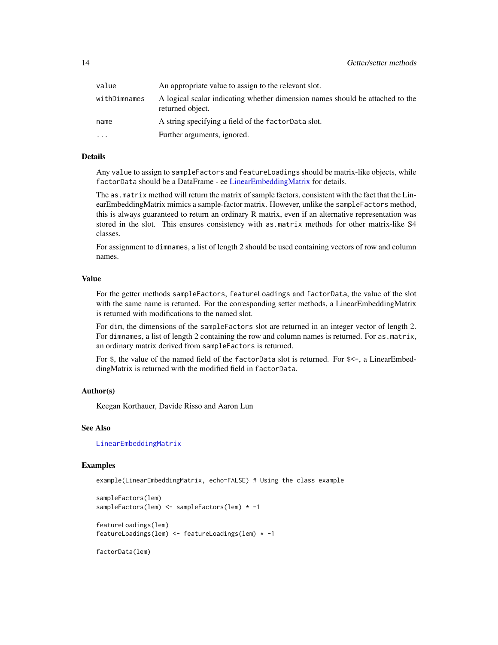<span id="page-13-0"></span>

| value        | An appropriate value to assign to the relevant slot.                                              |
|--------------|---------------------------------------------------------------------------------------------------|
| withDimnames | A logical scalar indicating whether dimension names should be attached to the<br>returned object. |
| name         | A string specifying a field of the factorData slot.                                               |
| .            | Further arguments, ignored.                                                                       |

### Details

Any value to assign to sampleFactors and featureLoadings should be matrix-like objects, while factorData should be a DataFrame - ee [LinearEmbeddingMatrix](#page-14-1) for details.

The as.matrix method will return the matrix of sample factors, consistent with the fact that the LinearEmbeddingMatrix mimics a sample-factor matrix. However, unlike the sampleFactors method, this is always guaranteed to return an ordinary R matrix, even if an alternative representation was stored in the slot. This ensures consistency with as.matrix methods for other matrix-like S4 classes.

For assignment to dimnames, a list of length 2 should be used containing vectors of row and column names.

### Value

For the getter methods sampleFactors, featureLoadings and factorData, the value of the slot with the same name is returned. For the corresponding setter methods, a LinearEmbeddingMatrix is returned with modifications to the named slot.

For dim, the dimensions of the sampleFactors slot are returned in an integer vector of length 2. For dimnames, a list of length 2 containing the row and column names is returned. For as.matrix, an ordinary matrix derived from sampleFactors is returned.

For \$, the value of the named field of the factorData slot is returned. For \$<-, a LinearEmbeddingMatrix is returned with the modified field in factorData.

#### Author(s)

Keegan Korthauer, Davide Risso and Aaron Lun

#### See Also

[LinearEmbeddingMatrix](#page-14-2)

#### Examples

example(LinearEmbeddingMatrix, echo=FALSE) # Using the class example

```
sampleFactors(lem)
sampleFactors(lem) <- sampleFactors(lem) * -1
```

```
featureLoadings(lem)
featureLoadings(lem) <- featureLoadings(lem) * -1
```
factorData(lem)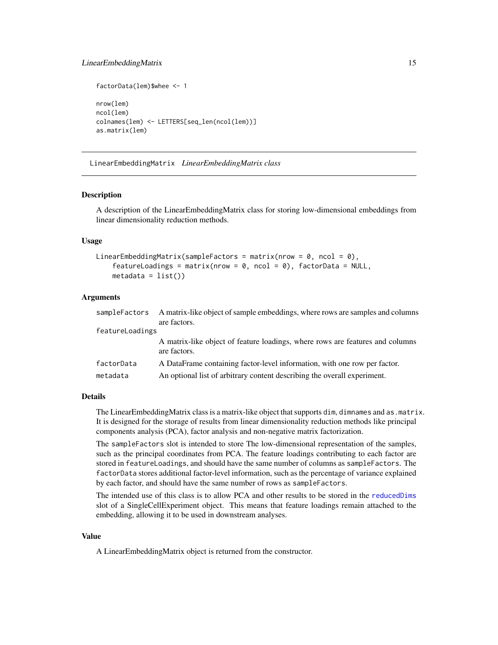#### <span id="page-14-0"></span>LinearEmbeddingMatrix 15

```
factorData(lem)$whee <- 1
nrow(lem)
ncol(lem)
colnames(lem) <- LETTERS[seq_len(ncol(lem))]
as.matrix(lem)
```
<span id="page-14-2"></span>LinearEmbeddingMatrix *LinearEmbeddingMatrix class*

### <span id="page-14-1"></span>Description

A description of the LinearEmbeddingMatrix class for storing low-dimensional embeddings from linear dimensionality reduction methods.

### Usage

```
LinearEmbeddingMatrix(sampleFactors = matrix(nrow = 0, ncol = 0),
    featureLoadings = matrix(nrow = 0, ncol = 0), factorData = NULL,
   metadata = list()
```
#### Arguments

| sampleFactors   | A matrix-like object of sample embeddings, where rows are samples and columns<br>are factors. |
|-----------------|-----------------------------------------------------------------------------------------------|
| featureLoadings |                                                                                               |
|                 | A matrix-like object of feature loadings, where rows are features and columns<br>are factors. |
| factorData      | A DataFrame containing factor-level information, with one row per factor.                     |
| metadata        | An optional list of arbitrary content describing the overall experiment.                      |

#### Details

The LinearEmbeddingMatrix class is a matrix-like object that supports dim, dimnames and as .matrix. It is designed for the storage of results from linear dimensionality reduction methods like principal components analysis (PCA), factor analysis and non-negative matrix factorization.

The sampleFactors slot is intended to store The low-dimensional representation of the samples, such as the principal coordinates from PCA. The feature loadings contributing to each factor are stored in featureLoadings, and should have the same number of columns as sampleFactors. The factorData stores additional factor-level information, such as the percentage of variance explained by each factor, and should have the same number of rows as sampleFactors.

The intended use of this class is to allow PCA and other results to be stored in the [reducedDims](#page-17-1) slot of a SingleCellExperiment object. This means that feature loadings remain attached to the embedding, allowing it to be used in downstream analyses.

#### Value

A LinearEmbeddingMatrix object is returned from the constructor.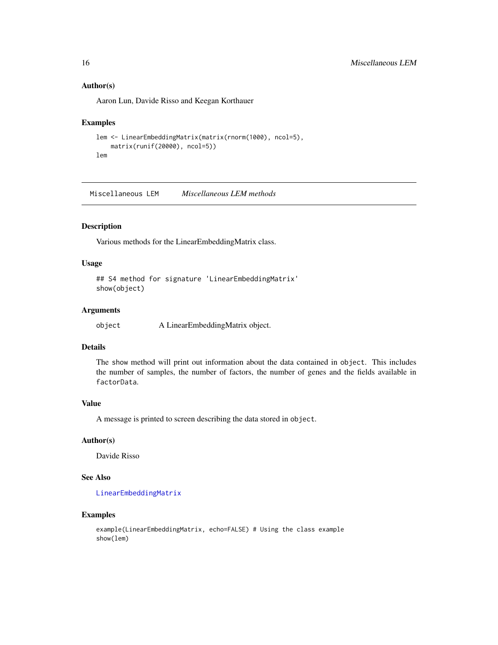### Author(s)

Aaron Lun, Davide Risso and Keegan Korthauer

#### Examples

```
lem <- LinearEmbeddingMatrix(matrix(rnorm(1000), ncol=5),
    matrix(runif(20000), ncol=5))
lem
```
Miscellaneous LEM *Miscellaneous LEM methods*

### Description

Various methods for the LinearEmbeddingMatrix class.

### Usage

```
## S4 method for signature 'LinearEmbeddingMatrix'
show(object)
```
### Arguments

| object | A LinearEmbeddingMatrix object. |  |
|--------|---------------------------------|--|
|        |                                 |  |

### Details

The show method will print out information about the data contained in object. This includes the number of samples, the number of factors, the number of genes and the fields available in factorData.

### Value

A message is printed to screen describing the data stored in object.

#### Author(s)

Davide Risso

### See Also

[LinearEmbeddingMatrix](#page-14-2)

### Examples

```
example(LinearEmbeddingMatrix, echo=FALSE) # Using the class example
show(lem)
```
<span id="page-15-0"></span>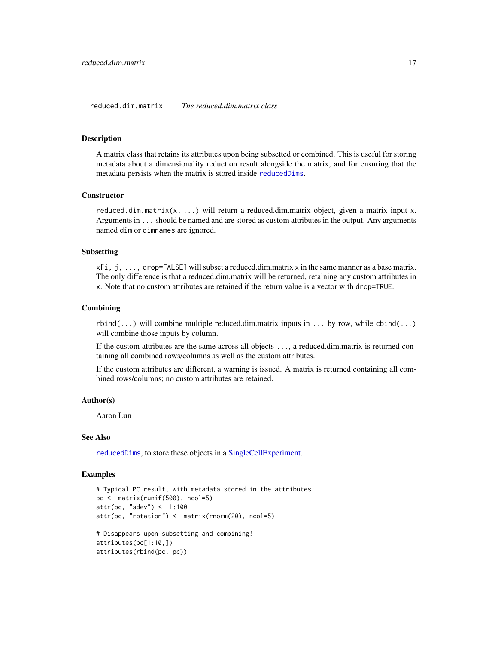#### <span id="page-16-1"></span><span id="page-16-0"></span>Description

A matrix class that retains its attributes upon being subsetted or combined. This is useful for storing metadata about a dimensionality reduction result alongside the matrix, and for ensuring that the metadata persists when the matrix is stored inside [reducedDims](#page-17-1).

#### **Constructor**

reduced.dim.matrix(x, ...) will return a reduced.dim.matrix object, given a matrix input x. Arguments in ... should be named and are stored as custom attributes in the output. Any arguments named dim or dimnames are ignored.

#### Subsetting

 $x[i, j, \ldots]$ , drop=FALSE] will subset a reduced.dim.matrix x in the same manner as a base matrix. The only difference is that a reduced.dim.matrix will be returned, retaining any custom attributes in x. Note that no custom attributes are retained if the return value is a vector with drop=TRUE.

### **Combining**

 $rbind(...)$  will combine multiple reduced.dim.matrix inputs in ... by row, while  $cbind(...)$ will combine those inputs by column.

If the custom attributes are the same across all objects ..., a reduced.dim.matrix is returned containing all combined rows/columns as well as the custom attributes.

If the custom attributes are different, a warning is issued. A matrix is returned containing all combined rows/columns; no custom attributes are retained.

#### Author(s)

Aaron Lun

#### See Also

[reducedDims](#page-17-1), to store these objects in a [SingleCellExperiment.](#page-30-1)

### Examples

```
# Typical PC result, with metadata stored in the attributes:
pc <- matrix(runif(500), ncol=5)
attr(pc, "sdev") <- 1:100
attr(pc, "rotation") <- matrix(rnorm(20), ncol=5)
# Disappears upon subsetting and combining!
attributes(pc[1:10,])
attributes(rbind(pc, pc))
```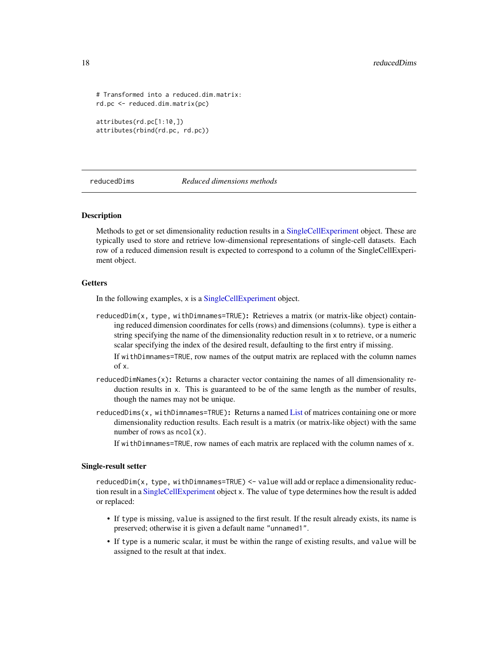```
# Transformed into a reduced.dim.matrix:
rd.pc <- reduced.dim.matrix(pc)
```

```
attributes(rd.pc[1:10,])
attributes(rbind(rd.pc, rd.pc))
```
<span id="page-17-1"></span>reducedDims *Reduced dimensions methods*

### <span id="page-17-2"></span>**Description**

Methods to get or set dimensionality reduction results in a [SingleCellExperiment](#page-30-1) object. These are typically used to store and retrieve low-dimensional representations of single-cell datasets. Each row of a reduced dimension result is expected to correspond to a column of the SingleCellExperiment object.

#### Getters

In the following examples, x is a [SingleCellExperiment](#page-30-1) object.

reducedDim(x, type, withDimnames=TRUE): Retrieves a matrix (or matrix-like object) containing reduced dimension coordinates for cells (rows) and dimensions (columns). type is either a string specifying the name of the dimensionality reduction result in x to retrieve, or a numeric scalar specifying the index of the desired result, defaulting to the first entry if missing.

If withDimnames=TRUE, row names of the output matrix are replaced with the column names of x.

- reducedDimNames(x): Returns a character vector containing the names of all dimensionality reduction results in x. This is guaranteed to be of the same length as the number of results, though the names may not be unique.
- reducedDims(x, withDimnames=TRUE): Returns a named [List](#page-0-0) of matrices containing one or more dimensionality reduction results. Each result is a matrix (or matrix-like object) with the same number of rows as  $ncol(x)$ .

If withDimnames=TRUE, row names of each matrix are replaced with the column names of x.

#### Single-result setter

reducedDim(x, type, withDimnames=TRUE) <- value will add or replace a dimensionality reduction result in a [SingleCellExperiment](#page-30-1) object x. The value of type determines how the result is added or replaced:

- If type is missing, value is assigned to the first result. If the result already exists, its name is preserved; otherwise it is given a default name "unnamed1".
- If type is a numeric scalar, it must be within the range of existing results, and value will be assigned to the result at that index.

<span id="page-17-0"></span>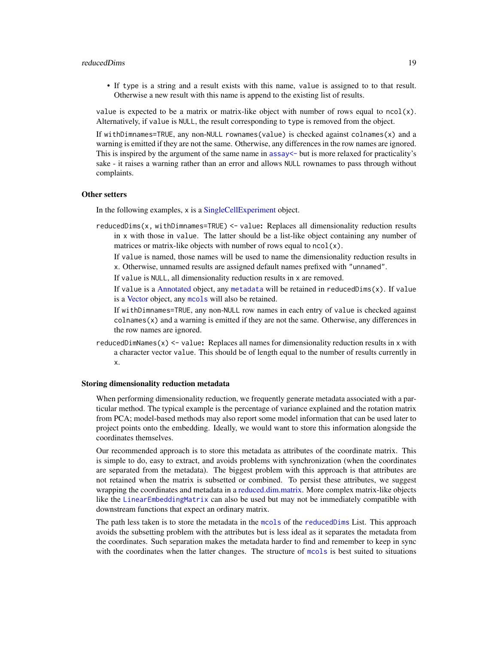#### <span id="page-18-0"></span>reducedDims and the state of the state of the state of the state of the state of the state of the state of the state of the state of the state of the state of the state of the state of the state of the state of the state o

• If type is a string and a result exists with this name, value is assigned to to that result. Otherwise a new result with this name is append to the existing list of results.

value is expected to be a matrix or matrix-like object with number of rows equal to  $ncol(x)$ . Alternatively, if value is NULL, the result corresponding to type is removed from the object.

If withDimnames=TRUE, any non-NULL rownames(value) is checked against colnames(x) and a warning is emitted if they are not the same. Otherwise, any differences in the row names are ignored. This is inspired by the argument of the same name in [assay<-](#page-0-0) but is more relaxed for practicality's sake - it raises a warning rather than an error and allows NULL rownames to pass through without complaints.

#### Other setters

In the following examples, x is a [SingleCellExperiment](#page-30-1) object.

reducedDims(x, withDimnames=TRUE) <- value: Replaces all dimensionality reduction results in x with those in value. The latter should be a list-like object containing any number of matrices or matrix-like objects with number of rows equal to  $ncol(x)$ .

If value is named, those names will be used to name the dimensionality reduction results in x. Otherwise, unnamed results are assigned default names prefixed with "unnamed".

If value is NULL, all dimensionality reduction results in x are removed.

If value is a [Annotated](#page-0-0) object, any [metadata](#page-0-0) will be retained in reduced  $Dims(x)$ . If value is a [Vector](#page-0-0) object, any [mcols](#page-0-0) will also be retained.

If withDimnames=TRUE, any non-NULL row names in each entry of value is checked against  $\text{colnames}(x)$  and a warning is emitted if they are not the same. Otherwise, any differences in the row names are ignored.

reducedDimNames(x)  $\le$  value: Replaces all names for dimensionality reduction results in x with a character vector value. This should be of length equal to the number of results currently in x.

#### Storing dimensionality reduction metadata

When performing dimensionality reduction, we frequently generate metadata associated with a particular method. The typical example is the percentage of variance explained and the rotation matrix from PCA; model-based methods may also report some model information that can be used later to project points onto the embedding. Ideally, we would want to store this information alongside the coordinates themselves.

Our recommended approach is to store this metadata as attributes of the coordinate matrix. This is simple to do, easy to extract, and avoids problems with synchronization (when the coordinates are separated from the metadata). The biggest problem with this approach is that attributes are not retained when the matrix is subsetted or combined. To persist these attributes, we suggest wrapping the coordinates and metadata in a [reduced.dim.matrix.](#page-16-1) More complex matrix-like objects like the [LinearEmbeddingMatrix](#page-14-2) can also be used but may not be immediately compatible with downstream functions that expect an ordinary matrix.

The path less taken is to store the metadata in the [mcols](#page-0-0) of the [reducedDims](#page-17-1) List. This approach avoids the subsetting problem with the attributes but is less ideal as it separates the metadata from the coordinates. Such separation makes the metadata harder to find and remember to keep in sync with the coordinates when the latter changes. The structure of [mcols](#page-0-0) is best suited to situations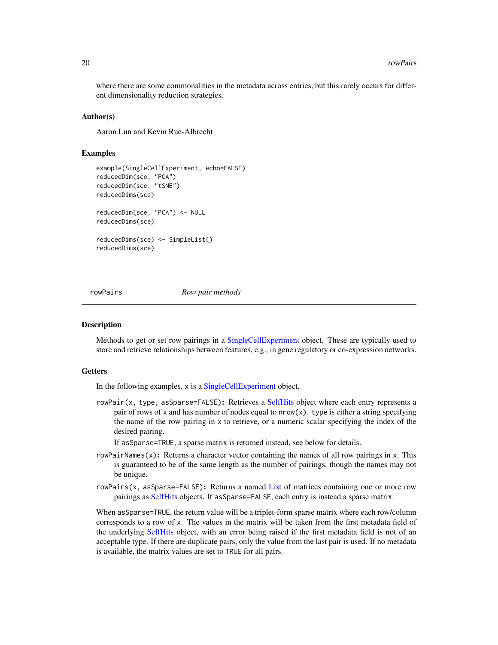<span id="page-19-0"></span>where there are some commonalities in the metadata across entries, but this rarely occurs for different dimensionality reduction strategies.

#### Author(s)

Aaron Lun and Kevin Rue-Albrecht

#### Examples

```
example(SingleCellExperiment, echo=FALSE)
reducedDim(sce, "PCA")
reducedDim(sce, "tSNE")
reducedDims(sce)
reducedDim(sce, "PCA") <- NULL
reducedDims(sce)
reducedDims(sce) <- SimpleList()
reducedDims(sce)
```
<span id="page-19-1"></span>rowPairs *Row pair methods*

#### <span id="page-19-2"></span>**Description**

Methods to get or set row pairings in a [SingleCellExperiment](#page-30-1) object. These are typically used to store and retrieve relationships between features, e.g., in gene regulatory or co-expression networks.

#### **Getters**

In the following examples, x is a [SingleCellExperiment](#page-30-1) object.

- rowPair(x, type, asSparse=FALSE): Retrieves a [SelfHits](#page-0-0) object where each entry represents a pair of rows of x and has number of nodes equal to  $nrow(x)$ . type is either a string specifying the name of the row pairing in x to retrieve, or a numeric scalar specifying the index of the desired pairing.
	- If asSparse=TRUE, a sparse matrix is returned instead, see below for details.
- rowPairNames(x): Returns a character vector containing the names of all row pairings in x. This is guaranteed to be of the same length as the number of pairings, though the names may not be unique.
- rowPairs(x, asSparse=FALSE): Returns a named [List](#page-0-0) of matrices containing one or more row pairings as [SelfHits](#page-0-0) objects. If asSparse=FALSE, each entry is instead a sparse matrix.

When asSparse=TRUE, the return value will be a triplet-form sparse matrix where each row/column corresponds to a row of x. The values in the matrix will be taken from the first metadata field of the underlying [SelfHits](#page-0-0) object, with an error being raised if the first metadata field is not of an acceptable type. If there are duplicate pairs, only the value from the last pair is used. If no metadata is available, the matrix values are set to TRUE for all pairs.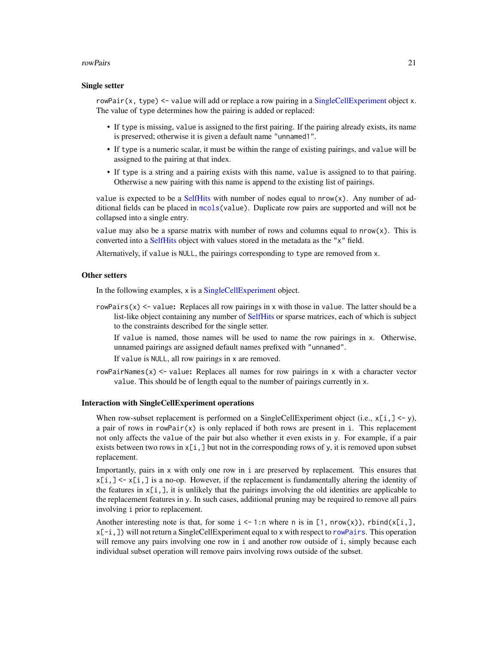#### <span id="page-20-0"></span>rowPairs 21

#### Single setter

rowPair(x, type)  $\leq$  value will add or replace a row pairing in a [SingleCellExperiment](#page-30-1) object x. The value of type determines how the pairing is added or replaced:

- If type is missing, value is assigned to the first pairing. If the pairing already exists, its name is preserved; otherwise it is given a default name "unnamed1".
- If type is a numeric scalar, it must be within the range of existing pairings, and value will be assigned to the pairing at that index.
- If type is a string and a pairing exists with this name, value is assigned to to that pairing. Otherwise a new pairing with this name is append to the existing list of pairings.

value is expected to be a [SelfHits](#page-0-0) with number of nodes equal to  $nrow(x)$ . Any number of additional fields can be placed in [mcols\(](#page-0-0)value). Duplicate row pairs are supported and will not be collapsed into a single entry.

value may also be a sparse matrix with number of rows and columns equal to  $nrow(x)$ . This is converted into a [SelfHits](#page-0-0) object with values stored in the metadata as the "x" field.

Alternatively, if value is NULL, the pairings corresponding to type are removed from x.

### Other setters

In the following examples, x is a [SingleCellExperiment](#page-30-1) object.

 $rowPairs(x) \leq value$ : Replaces all row pairings in x with those in value. The latter should be a list-like object containing any number of [SelfHits](#page-0-0) or sparse matrices, each of which is subject to the constraints described for the single setter.

If value is named, those names will be used to name the row pairings in x. Otherwise, unnamed pairings are assigned default names prefixed with "unnamed".

If value is NULL, all row pairings in x are removed.

rowPairNames(x)  $\le$  value: Replaces all names for row pairings in x with a character vector value. This should be of length equal to the number of pairings currently in x.

### Interaction with SingleCellExperiment operations

When row-subset replacement is performed on a SingleCellExperiment object (i.e.,  $x[i, 1] \le -y$ ), a pair of rows in  $rowPair(x)$  is only replaced if both rows are present in i. This replacement not only affects the value of the pair but also whether it even exists in y. For example, if a pair exists between two rows in  $x[i, ]$  but not in the corresponding rows of y, it is removed upon subset replacement.

Importantly, pairs in x with only one row in i are preserved by replacement. This ensures that  $x[i, ] \le x[i, ]$  is a no-op. However, if the replacement is fundamentally altering the identity of the features in  $x[i,]$ , it is unlikely that the pairings involving the old identities are applicable to the replacement features in y. In such cases, additional pruning may be required to remove all pairs involving i prior to replacement.

Another interesting note is that, for some  $i \le -1$ :n where n is in [1, nrow(x)), rbind(x[i,], x[-i,]) will not return a SingleCellExperiment equal to x with respect to [rowPairs](#page-19-1). This operation will remove any pairs involving one row in i and another row outside of i, simply because each individual subset operation will remove pairs involving rows outside of the subset.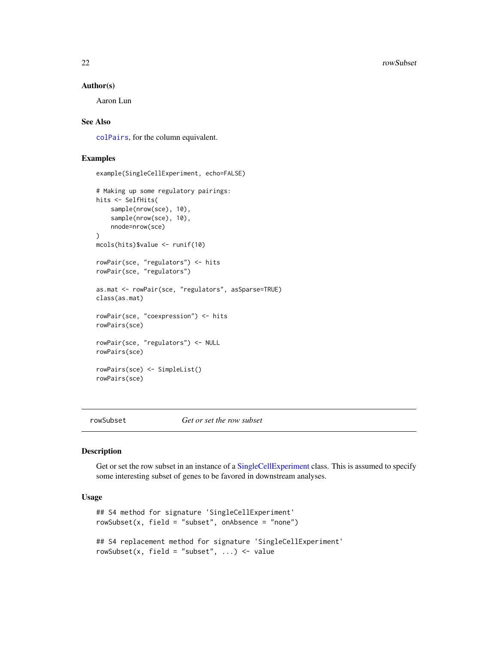#### <span id="page-21-0"></span>Author(s)

Aaron Lun

### See Also

[colPairs](#page-8-1), for the column equivalent.

### Examples

```
example(SingleCellExperiment, echo=FALSE)
# Making up some regulatory pairings:
hits <- SelfHits(
    sample(nrow(sce), 10),
   sample(nrow(sce), 10),
   nnode=nrow(sce)
)
mcols(hits)$value <- runif(10)
rowPair(sce, "regulators") <- hits
rowPair(sce, "regulators")
as.mat <- rowPair(sce, "regulators", asSparse=TRUE)
class(as.mat)
rowPair(sce, "coexpression") <- hits
rowPairs(sce)
rowPair(sce, "regulators") <- NULL
rowPairs(sce)
rowPairs(sce) <- SimpleList()
rowPairs(sce)
```
<span id="page-21-1"></span>

rowSubset *Get or set the row subset*

#### Description

Get or set the row subset in an instance of a [SingleCellExperiment](#page-30-1) class. This is assumed to specify some interesting subset of genes to be favored in downstream analyses.

### Usage

```
## S4 method for signature 'SingleCellExperiment'
rowsubset(x, field = "subset", onAbsence = "none")## S4 replacement method for signature 'SingleCellExperiment'
rowSubset(x, field = "subset", \ldots) <- value
```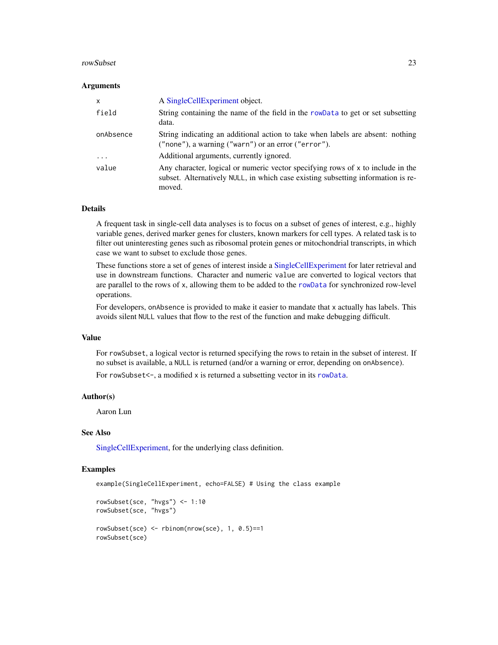#### <span id="page-22-0"></span>rowSubset 23

#### **Arguments**

| $\mathsf{x}$ | A Single Cell Experiment object.                                                                                                                                              |
|--------------|-------------------------------------------------------------------------------------------------------------------------------------------------------------------------------|
| field        | String containing the name of the field in the rowData to get or set subsetting<br>data.                                                                                      |
| onAbsence    | String indicating an additional action to take when labels are absent: nothing<br>$("none"), a warning ("warn") or an error ("error").$                                       |
| $\cdot$      | Additional arguments, currently ignored.                                                                                                                                      |
| value        | Any character, logical or numeric vector specifying rows of x to include in the<br>subset. Alternatively NULL, in which case existing subsetting information is re-<br>moved. |

#### Details

A frequent task in single-cell data analyses is to focus on a subset of genes of interest, e.g., highly variable genes, derived marker genes for clusters, known markers for cell types. A related task is to filter out uninteresting genes such as ribosomal protein genes or mitochondrial transcripts, in which case we want to subset to exclude those genes.

These functions store a set of genes of interest inside a [SingleCellExperiment](#page-30-1) for later retrieval and use in downstream functions. Character and numeric value are converted to logical vectors that are parallel to the rows of x, allowing them to be added to the [rowData](#page-0-0) for synchronized row-level operations.

For developers, onAbsence is provided to make it easier to mandate that x actually has labels. This avoids silent NULL values that flow to the rest of the function and make debugging difficult.

#### Value

For rowSubset, a logical vector is returned specifying the rows to retain in the subset of interest. If no subset is available, a NULL is returned (and/or a warning or error, depending on onAbsence).

For rowSubset<-, a modified x is returned a subsetting vector in its [rowData](#page-0-0).

#### Author(s)

Aaron Lun

#### See Also

[SingleCellExperiment,](#page-30-1) for the underlying class definition.

### Examples

example(SingleCellExperiment, echo=FALSE) # Using the class example

```
rowSubset(sce, "hvgs") <- 1:10
rowSubset(sce, "hvgs")
rowSubset(sce) <- rbinom(nrow(sce), 1, 0.5)==1
rowSubset(sce)
```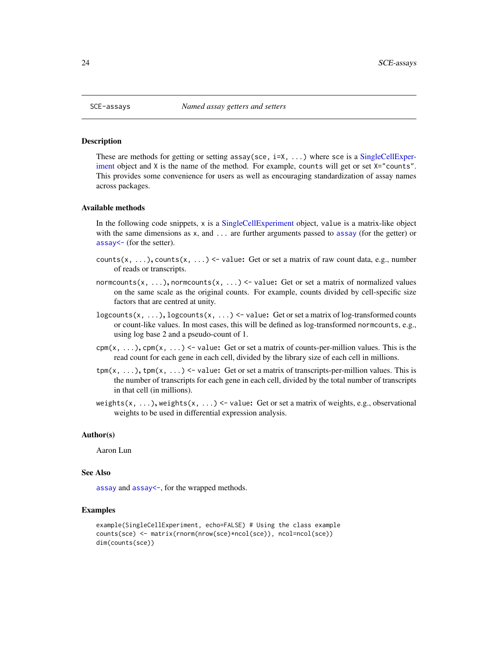<span id="page-23-0"></span>

#### Description

These are methods for getting or setting assay(sce, i=X, ...) where sce is a [SingleCellExper](#page-30-1)[iment](#page-30-1) object and X is the name of the method. For example, counts will get or set X="counts". This provides some convenience for users as well as encouraging standardization of assay names across packages.

#### Available methods

In the following code snippets, x is a [SingleCellExperiment](#page-30-1) object, value is a matrix-like object with the same dimensions as x, and ... are further arguments passed to [assay](#page-0-0) (for the getter) or [assay<-](#page-0-0) (for the setter).

- counts(x, ...), counts(x, ...)  $\le$  value: Get or set a matrix of raw count data, e.g., number of reads or transcripts.
- normcounts(x, ...), normcounts(x, ...) <- value: Get or set a matrix of normalized values on the same scale as the original counts. For example, counts divided by cell-specific size factors that are centred at unity.
- logcounts(x, ...), logcounts(x, ...)  $\leq$  value: Get or set a matrix of log-transformed counts or count-like values. In most cases, this will be defined as log-transformed normcounts, e.g., using log base 2 and a pseudo-count of 1.
- $\text{cpm}(x, \ldots)$ ,  $\text{cpm}(x, \ldots)$  <- value: Get or set a matrix of counts-per-million values. This is the read count for each gene in each cell, divided by the library size of each cell in millions.
- $\text{tpm}(x, \ldots)$ ,  $\text{tpm}(x, \ldots)$  < value: Get or set a matrix of transcripts-per-million values. This is the number of transcripts for each gene in each cell, divided by the total number of transcripts in that cell (in millions).
- weights(x, ...), weights(x, ...)  $\le$  value: Get or set a matrix of weights, e.g., observational weights to be used in differential expression analysis.

#### Author(s)

Aaron Lun

#### See Also

[assay](#page-0-0) and [assay<-](#page-0-0), for the wrapped methods.

#### Examples

```
example(SingleCellExperiment, echo=FALSE) # Using the class example
counts(sce) <- matrix(rnorm(nrow(sce)*ncol(sce)), ncol=ncol(sce))
dim(counts(sce))
```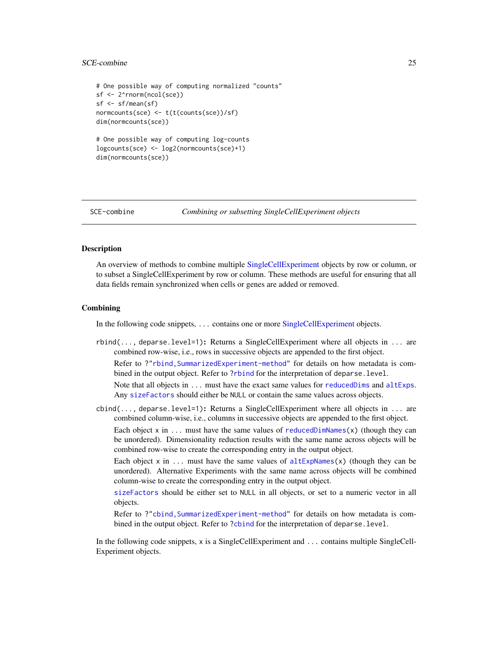### <span id="page-24-0"></span>SCE-combine 25

```
# One possible way of computing normalized "counts"
sf <- 2^rnorm(ncol(sce))
sf <- sf/mean(sf)
normcounts(sce) <- t(t(counts(sce))/sf)
dim(normcounts(sce))
# One possible way of computing log-counts
logcounts(sce) <- log2(normcounts(sce)+1)
dim(normcounts(sce))
```
<span id="page-24-1"></span>

```
SCE-combine Combining or subsetting SingleCellExperiment objects
```
### Description

An overview of methods to combine multiple [SingleCellExperiment](#page-30-1) objects by row or column, or to subset a SingleCellExperiment by row or column. These methods are useful for ensuring that all data fields remain synchronized when cells or genes are added or removed.

#### Combining

In the following code snippets, ... contains one or more [SingleCellExperiment](#page-30-1) objects.

rbind(..., deparse.level=1): Returns a SingleCellExperiment where all objects in ... are combined row-wise, i.e., rows in successive objects are appended to the first object. Refer to ?["rbind,SummarizedExperiment-method"](#page-0-0) for details on how metadata is combined in the output object. Refer to [?rbind](#page-0-0) for the interpretation of deparse.level.

Note that all objects in ... must have the exact same values for [reducedDims](#page-17-1) and [altExps](#page-1-1). Any [sizeFactors](#page-32-1) should either be NULL or contain the same values across objects.

 $\text{cbind}(\ldots)$ , deparse.level=1): Returns a SingleCellExperiment where all objects in  $\ldots$  are combined column-wise, i.e., columns in successive objects are appended to the first object.

Each object x in ... must have the same values of [reducedDimNames\(](#page-17-2)x) (though they can be unordered). Dimensionality reduction results with the same name across objects will be combined row-wise to create the corresponding entry in the output object.

Each object x in ... must have the same values of  $altExpNames(x)$  $altExpNames(x)$  (though they can be unordered). Alternative Experiments with the same name across objects will be combined column-wise to create the corresponding entry in the output object.

[sizeFactors](#page-32-1) should be either set to NULL in all objects, or set to a numeric vector in all objects.

Refer to ?["cbind,SummarizedExperiment-method"](#page-0-0) for details on how metadata is com-bined in the output object. Refer to [?cbind](#page-0-0) for the interpretation of deparse.level.

In the following code snippets, x is a SingleCellExperiment and ... contains multiple SingleCell-Experiment objects.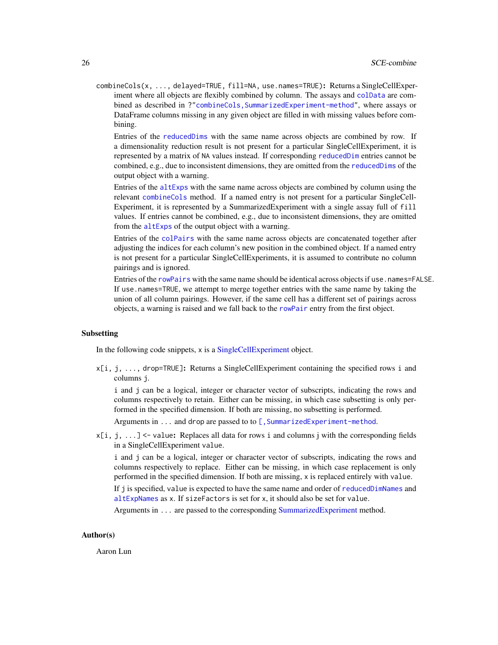<span id="page-25-0"></span>combineCols(x, ..., delayed=TRUE, fill=NA, use.names=TRUE): Returns a SingleCellExperiment where all objects are flexibly combined by column. The assays and [colData](#page-0-0) are combined as described in ?["combineCols,SummarizedExperiment-method"](#page-0-0), where assays or DataFrame columns missing in any given object are filled in with missing values before combining.

Entries of the [reducedDims](#page-17-1) with the same name across objects are combined by row. If a dimensionality reduction result is not present for a particular SingleCellExperiment, it is represented by a matrix of NA values instead. If corresponding [reducedDim](#page-17-2) entries cannot be combined, e.g., due to inconsistent dimensions, they are omitted from the [reducedDims](#page-17-1) of the output object with a warning.

Entries of the [altExps](#page-1-1) with the same name across objects are combined by column using the relevant [combineCols](#page-0-0) method. If a named entry is not present for a particular SingleCell-Experiment, it is represented by a SummarizedExperiment with a single assay full of fill values. If entries cannot be combined, e.g., due to inconsistent dimensions, they are omitted from the [altExps](#page-1-1) of the output object with a warning.

Entries of the [colPairs](#page-8-1) with the same name across objects are concatenated together after adjusting the indices for each column's new position in the combined object. If a named entry is not present for a particular SingleCellExperiments, it is assumed to contribute no column pairings and is ignored.

Entries of the [rowPairs](#page-19-1) with the same name should be identical across objects if use . names=FALSE. If use.names=TRUE, we attempt to merge together entries with the same name by taking the union of all column pairings. However, if the same cell has a different set of pairings across objects, a warning is raised and we fall back to the [rowPair](#page-19-2) entry from the first object.

#### Subsetting

In the following code snippets, x is a [SingleCellExperiment](#page-30-1) object.

 $x[i, j, \ldots]$ , drop=TRUE]: Returns a SingleCellExperiment containing the specified rows i and columns j.

i and j can be a logical, integer or character vector of subscripts, indicating the rows and columns respectively to retain. Either can be missing, in which case subsetting is only performed in the specified dimension. If both are missing, no subsetting is performed.

Arguments in ... and drop are passed to to [, SummarizedExperiment-method.

x[i, j, ...] <- value: Replaces all data for rows i and columns j with the corresponding fields in a SingleCellExperiment value.

i and j can be a logical, integer or character vector of subscripts, indicating the rows and columns respectively to replace. Either can be missing, in which case replacement is only performed in the specified dimension. If both are missing, x is replaced entirely with value.

If j is specified, value is expected to have the same name and order of [reducedDimNames](#page-17-2) and [altExpNames](#page-1-2) as x. If sizeFactors is set for x, it should also be set for value.

Arguments in ... are passed to the corresponding [SummarizedExperiment](#page-0-0) method.

#### Author(s)

Aaron Lun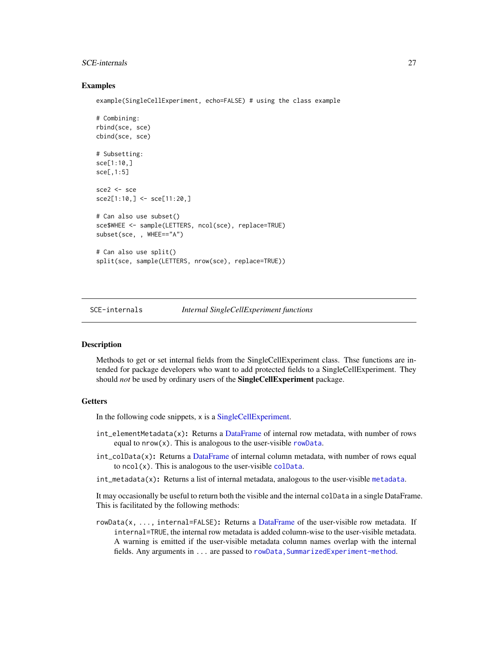### <span id="page-26-0"></span>SCE-internals 27

### Examples

example(SingleCellExperiment, echo=FALSE) # using the class example

```
# Combining:
rbind(sce, sce)
cbind(sce, sce)
# Subsetting:
sce[1:10,]
sce[,1:5]
sce2 <- sce
sce2[1:10,] <- sce[11:20,]
# Can also use subset()
sce$WHEE <- sample(LETTERS, ncol(sce), replace=TRUE)
subset(sce, , WHEE=="A")
# Can also use split()
split(sce, sample(LETTERS, nrow(sce), replace=TRUE))
```
<span id="page-26-1"></span>SCE-internals *Internal SingleCellExperiment functions*

### <span id="page-26-2"></span>Description

Methods to get or set internal fields from the SingleCellExperiment class. Thse functions are intended for package developers who want to add protected fields to a SingleCellExperiment. They should *not* be used by ordinary users of the SingleCellExperiment package.

### Getters

In the following code snippets, x is a [SingleCellExperiment.](#page-30-1)

- int\_elementMetadata(x): Returns a [DataFrame](#page-0-0) of internal row metadata, with number of rows equal to  $nrow(x)$ . This is analogous to the user-visible [rowData](#page-0-0).
- int\_colData(x): Returns a [DataFrame](#page-0-0) of internal column metadata, with number of rows equal to  $ncol(x)$ . This is analogous to the user-visible [colData](#page-0-0).
- int\_metadata(x): Returns a list of internal metadata, analogous to the user-visible [metadata](#page-0-0).

It may occasionally be useful to return both the visible and the internal colData in a single DataFrame. This is facilitated by the following methods:

rowData(x, ..., internal=FALSE): Returns a [DataFrame](#page-0-0) of the user-visible row metadata. If internal=TRUE, the internal row metadata is added column-wise to the user-visible metadata. A warning is emitted if the user-visible metadata column names overlap with the internal fields. Any arguments in ... are passed to rowData, SummarizedExperiment-method.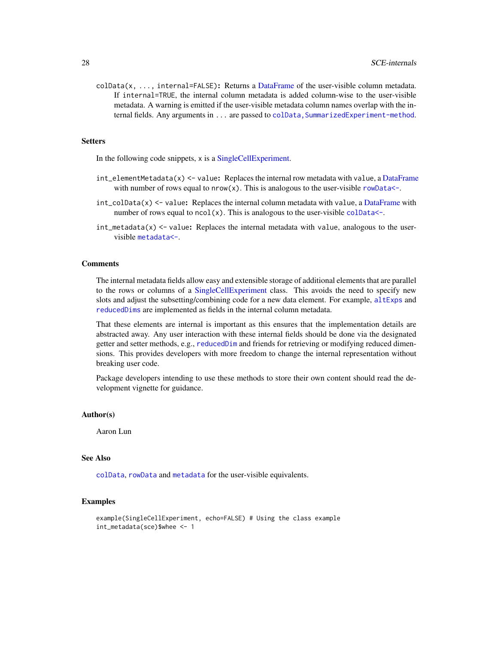<span id="page-27-0"></span>colData(x, ..., internal=FALSE): Returns a [DataFrame](#page-0-0) of the user-visible column metadata. If internal=TRUE, the internal column metadata is added column-wise to the user-visible metadata. A warning is emitted if the user-visible metadata column names overlap with the internal fields. Any arguments in . . . are passed to colData, SummarizedExperiment-method.

#### **Setters**

In the following code snippets, x is a [SingleCellExperiment.](#page-30-1)

- $int$ -elementMetadata(x) <- value: Replaces the internal row metadata with value, a [DataFrame](#page-0-0) with number of rows equal to  $nrow(x)$ . This is analogous to the user-visible rowData $\leq$ .
- $int_{colData}(x)$  <- value: Replaces the internal column metadata with value, a [DataFrame](#page-0-0) with number of rows equal to  $ncol(x)$ . This is analogous to the user-visible colData $\leq$ .
- $int_m$ etadata $(x)$  <- value: Replaces the internal metadata with value, analogous to the uservisible [metadata<-](#page-0-0).

### Comments

The internal metadata fields allow easy and extensible storage of additional elements that are parallel to the rows or columns of a [SingleCellExperiment](#page-30-1) class. This avoids the need to specify new slots and adjust the subsetting/combining code for a new data element. For example, [altExps](#page-1-1) and [reducedDims](#page-17-1) are implemented as fields in the internal column metadata.

That these elements are internal is important as this ensures that the implementation details are abstracted away. Any user interaction with these internal fields should be done via the designated getter and setter methods, e.g., [reducedDim](#page-17-2) and friends for retrieving or modifying reduced dimensions. This provides developers with more freedom to change the internal representation without breaking user code.

Package developers intending to use these methods to store their own content should read the development vignette for guidance.

#### Author(s)

Aaron Lun

#### See Also

[colData](#page-0-0), [rowData](#page-0-0) and [metadata](#page-0-0) for the user-visible equivalents.

### Examples

```
example(SingleCellExperiment, echo=FALSE) # Using the class example
int_metadata(sce)$whee <- 1
```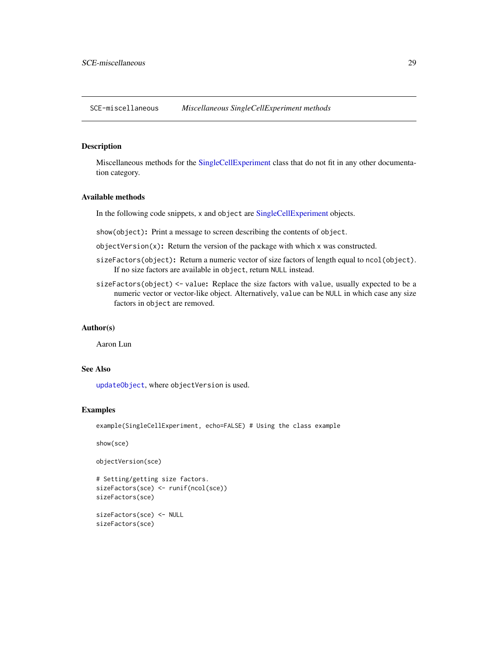<span id="page-28-0"></span>SCE-miscellaneous *Miscellaneous SingleCellExperiment methods*

### <span id="page-28-1"></span>Description

Miscellaneous methods for the [SingleCellExperiment](#page-30-1) class that do not fit in any other documentation category.

### Available methods

In the following code snippets, x and object are [SingleCellExperiment](#page-30-1) objects.

show(object): Print a message to screen describing the contents of object.

objectVersion(x): Return the version of the package with which x was constructed.

- sizeFactors(object): Return a numeric vector of size factors of length equal to ncol(object). If no size factors are available in object, return NULL instead.
- sizeFactors(object) <- value: Replace the size factors with value, usually expected to be a numeric vector or vector-like object. Alternatively, value can be NULL in which case any size factors in object are removed.

### Author(s)

Aaron Lun

### See Also

[updateObject](#page-39-1), where objectVersion is used.

#### Examples

example(SingleCellExperiment, echo=FALSE) # Using the class example

show(sce)

```
objectVersion(sce)
```

```
# Setting/getting size factors.
sizeFactors(sce) <- runif(ncol(sce))
sizeFactors(sce)
sizeFactors(sce) <- NULL
```
sizeFactors(sce)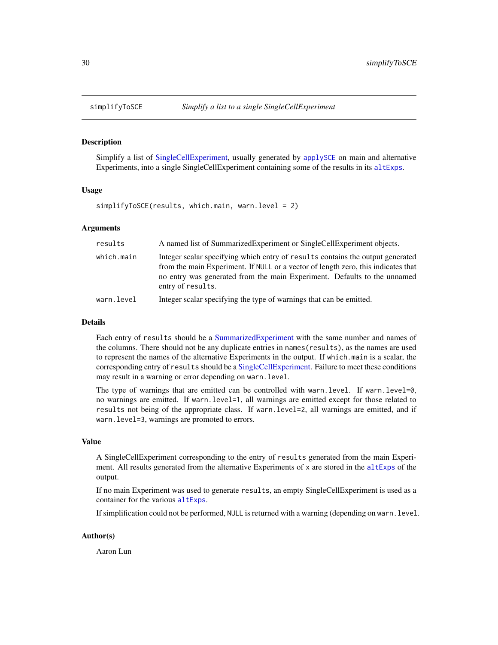<span id="page-29-1"></span><span id="page-29-0"></span>

### Description

Simplify a list of [SingleCellExperiment,](#page-30-1) usually generated by [applySCE](#page-4-1) on main and alternative Experiments, into a single SingleCellExperiment containing some of the results in its [altExps](#page-1-1).

#### Usage

simplifyToSCE(results, which.main, warn.level = 2)

### Arguments

| results    | A named list of Summarized Experiment or Single Cell Experiment objects.                                                                                                                                                                                             |
|------------|----------------------------------------------------------------------------------------------------------------------------------------------------------------------------------------------------------------------------------------------------------------------|
| which.main | Integer scalar specifying which entry of results contains the output generated<br>from the main Experiment. If NULL or a vector of length zero, this indicates that<br>no entry was generated from the main Experiment. Defaults to the unnamed<br>entry of results. |
| warn.level | Integer scalar specifying the type of warnings that can be emitted.                                                                                                                                                                                                  |

#### Details

Each entry of results should be a [SummarizedExperiment](#page-0-0) with the same number and names of the columns. There should not be any duplicate entries in names(results), as the names are used to represent the names of the alternative Experiments in the output. If which.main is a scalar, the corresponding entry of results should be a [SingleCellExperiment.](#page-30-1) Failure to meet these conditions may result in a warning or error depending on warn.level.

The type of warnings that are emitted can be controlled with warn.level. If warn.level=0, no warnings are emitted. If warn.level=1, all warnings are emitted except for those related to results not being of the appropriate class. If warn.level=2, all warnings are emitted, and if warn. level=3, warnings are promoted to errors.

#### Value

A SingleCellExperiment corresponding to the entry of results generated from the main Experiment. All results generated from the alternative Experiments of x are stored in the [altExps](#page-1-1) of the output.

If no main Experiment was used to generate results, an empty SingleCellExperiment is used as a container for the various [altExps](#page-1-1).

If simplification could not be performed, NULL is returned with a warning (depending on warn.level.

### Author(s)

Aaron Lun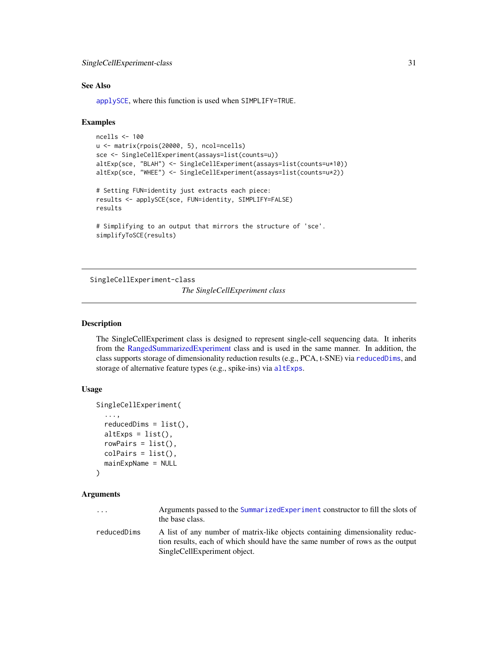### <span id="page-30-0"></span>See Also

[applySCE](#page-4-1), where this function is used when SIMPLIFY=TRUE.

#### Examples

```
ncells <- 100
u <- matrix(rpois(20000, 5), ncol=ncells)
sce <- SingleCellExperiment(assays=list(counts=u))
altExp(sce, "BLAH") <- SingleCellExperiment(assays=list(counts=u*10))
altExp(sce, "WHEE") <- SingleCellExperiment(assays=list(counts=u*2))
# Setting FUN=identity just extracts each piece:
results <- applySCE(sce, FUN=identity, SIMPLIFY=FALSE)
results
# Simplifying to an output that mirrors the structure of 'sce'.
simplifyToSCE(results)
```
<span id="page-30-1"></span>SingleCellExperiment-class

*The SingleCellExperiment class*

### **Description**

The SingleCellExperiment class is designed to represent single-cell sequencing data. It inherits from the [RangedSummarizedExperiment](#page-0-0) class and is used in the same manner. In addition, the class supports storage of dimensionality reduction results (e.g., PCA, t-SNE) via [reducedDims](#page-17-1), and storage of alternative feature types (e.g., spike-ins) via [altExps](#page-1-1).

### Usage

```
SingleCellExperiment(
  ...,
  reducedDims = list(),
  altExpress = list(),rowPairs = list(),colPairs = list(),
  mainExpName = NULL
)
```
#### Arguments

| $\cdots$    | Arguments passed to the SummarizedExperiment constructor to fill the slots of<br>the base class. |
|-------------|--------------------------------------------------------------------------------------------------|
| reducedDims | A list of any number of matrix-like objects containing dimensionality reduc-                     |
|             |                                                                                                  |

tion results, each of which should have the same number of rows as the output SingleCellExperiment object.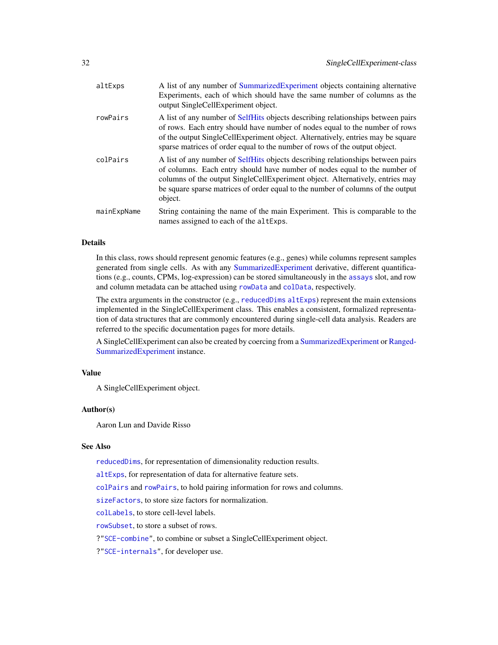<span id="page-31-0"></span>

| altExps     | A list of any number of Summarized Experiment objects containing alternative<br>Experiments, each of which should have the same number of columns as the<br>output SingleCellExperiment object.                                                                                                                                             |
|-------------|---------------------------------------------------------------------------------------------------------------------------------------------------------------------------------------------------------------------------------------------------------------------------------------------------------------------------------------------|
| rowPairs    | A list of any number of SelfHits objects describing relationships between pairs<br>of rows. Each entry should have number of nodes equal to the number of rows<br>of the output SingleCellExperiment object. Alternatively, entries may be square<br>sparse matrices of order equal to the number of rows of the output object.             |
| colPairs    | A list of any number of SelfHits objects describing relationships between pairs<br>of columns. Each entry should have number of nodes equal to the number of<br>columns of the output SingleCellExperiment object. Alternatively, entries may<br>be square sparse matrices of order equal to the number of columns of the output<br>object. |
| mainExpName | String containing the name of the main Experiment. This is comparable to the<br>names assigned to each of the altExps.                                                                                                                                                                                                                      |

#### Details

In this class, rows should represent genomic features (e.g., genes) while columns represent samples generated from single cells. As with any [SummarizedExperiment](#page-0-0) derivative, different quantifications (e.g., counts, CPMs, log-expression) can be stored simultaneously in the [assays](#page-0-0) slot, and row and column metadata can be attached using [rowData](#page-0-0) and [colData](#page-0-0), respectively.

The extra arguments in the constructor (e.g., [reducedDims](#page-17-1) [altExps](#page-1-1)) represent the main extensions implemented in the SingleCellExperiment class. This enables a consistent, formalized representation of data structures that are commonly encountered during single-cell data analysis. Readers are referred to the specific documentation pages for more details.

A SingleCellExperiment can also be created by coercing from a [SummarizedExperiment](#page-0-0) or [Ranged-](#page-0-0)[SummarizedExperiment](#page-0-0) instance.

#### Value

A SingleCellExperiment object.

### Author(s)

Aaron Lun and Davide Risso

#### See Also

[reducedDims](#page-17-1), for representation of dimensionality reduction results.

[altExps](#page-1-1), for representation of data for alternative feature sets.

[colPairs](#page-8-1) and [rowPairs](#page-19-1), to hold pairing information for rows and columns.

[sizeFactors](#page-32-1), to store size factors for normalization.

[colLabels](#page-6-1), to store cell-level labels.

[rowSubset](#page-21-1), to store a subset of rows.

?["SCE-combine"](#page-24-1), to combine or subset a SingleCellExperiment object.

?["SCE-internals"](#page-26-1), for developer use.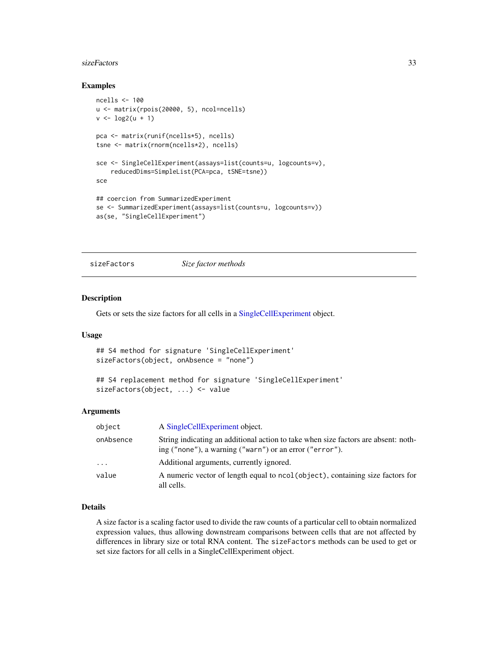#### <span id="page-32-0"></span>sizeFactors 33

#### Examples

```
ncells <- 100
u <- matrix(rpois(20000, 5), ncol=ncells)
v \leq -\log(2(u + 1))pca <- matrix(runif(ncells*5), ncells)
tsne <- matrix(rnorm(ncells*2), ncells)
sce <- SingleCellExperiment(assays=list(counts=u, logcounts=v),
    reducedDims=SimpleList(PCA=pca, tSNE=tsne))
sce
## coercion from SummarizedExperiment
se <- SummarizedExperiment(assays=list(counts=u, logcounts=v))
as(se, "SingleCellExperiment")
```
<span id="page-32-1"></span>

sizeFactors *Size factor methods*

### Description

Gets or sets the size factors for all cells in a [SingleCellExperiment](#page-30-1) object.

### Usage

```
## S4 method for signature 'SingleCellExperiment'
sizeFactors(object, onAbsence = "none")
```

```
## S4 replacement method for signature 'SingleCellExperiment'
sizeFactors(object, ...) <- value
```
### Arguments

| object    | A Single Cell Experiment object.                                                                                                              |
|-----------|-----------------------------------------------------------------------------------------------------------------------------------------------|
| onAbsence | String indicating an additional action to take when size factors are absent: noth-<br>ing ("none"), a warning ("warn") or an error ("error"). |
| $\cdots$  | Additional arguments, currently ignored.                                                                                                      |
| value     | A numeric vector of length equal to ncol (object), containing size factors for<br>all cells.                                                  |

### Details

A size factor is a scaling factor used to divide the raw counts of a particular cell to obtain normalized expression values, thus allowing downstream comparisons between cells that are not affected by differences in library size or total RNA content. The sizeFactors methods can be used to get or set size factors for all cells in a SingleCellExperiment object.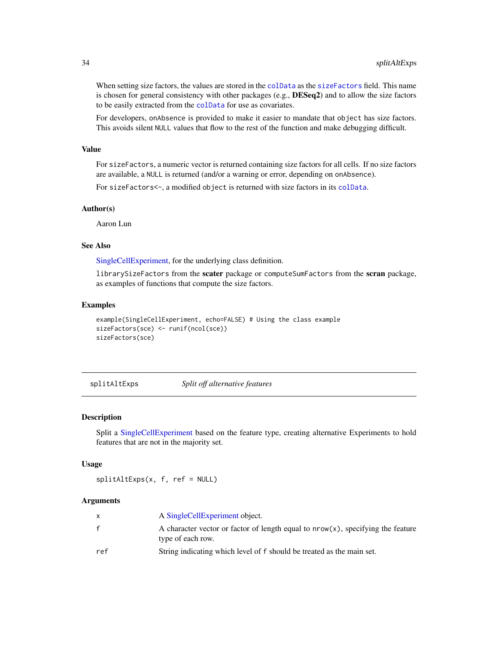<span id="page-33-0"></span>When setting size factors, the values are stored in the [colData](#page-0-0) as the [sizeFactors](#page-32-1) field. This name is chosen for general consistency with other packages (e.g.,  $DESeq2$ ) and to allow the size factors to be easily extracted from the [colData](#page-0-0) for use as covariates.

For developers, onAbsence is provided to make it easier to mandate that object has size factors. This avoids silent NULL values that flow to the rest of the function and make debugging difficult.

### Value

For sizeFactors, a numeric vector is returned containing size factors for all cells. If no size factors are available, a NULL is returned (and/or a warning or error, depending on onAbsence).

For sizeFactors<-, a modified object is returned with size factors in its [colData](#page-0-0).

#### Author(s)

Aaron Lun

### See Also

[SingleCellExperiment,](#page-30-1) for the underlying class definition.

librarySizeFactors from the scater package or computeSumFactors from the scran package, as examples of functions that compute the size factors.

#### Examples

```
example(SingleCellExperiment, echo=FALSE) # Using the class example
sizeFactors(sce) <- runif(ncol(sce))
sizeFactors(sce)
```
<span id="page-33-1"></span>splitAltExps *Split off alternative features*

### Description

Split a [SingleCellExperiment](#page-30-1) based on the feature type, creating alternative Experiments to hold features that are not in the majority set.

#### Usage

splitAltExps(x, f, ref = NULL)

#### Arguments

|     | A SingleCellExperiment object.                                                                          |
|-----|---------------------------------------------------------------------------------------------------------|
| f   | A character vector or factor of length equal to $nrow(x)$ , specifying the feature<br>type of each row. |
| ref | String indicating which level of f should be treated as the main set.                                   |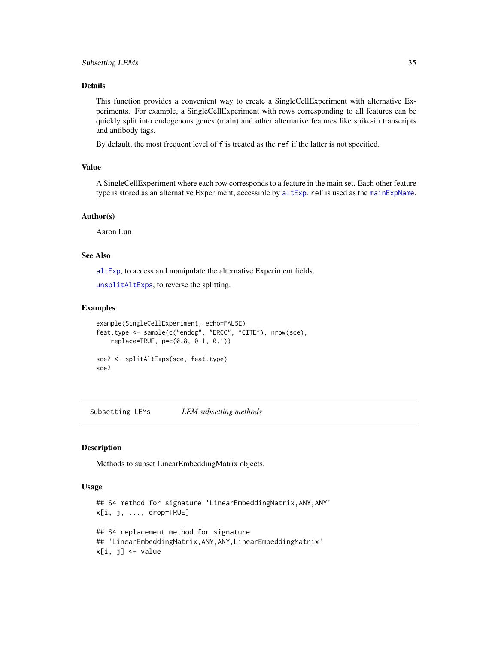### <span id="page-34-0"></span>Subsetting LEMs 35

### Details

This function provides a convenient way to create a SingleCellExperiment with alternative Experiments. For example, a SingleCellExperiment with rows corresponding to all features can be quickly split into endogenous genes (main) and other alternative features like spike-in transcripts and antibody tags.

By default, the most frequent level of f is treated as the ref if the latter is not specified.

#### Value

A SingleCellExperiment where each row corresponds to a feature in the main set. Each other feature type is stored as an alternative Experiment, accessible by [altExp](#page-1-2). ref is used as the [mainExpName](#page-1-2).

#### Author(s)

Aaron Lun

### See Also

[altExp](#page-1-2), to access and manipulate the alternative Experiment fields.

[unsplitAltExps](#page-37-1), to reverse the splitting.

### Examples

```
example(SingleCellExperiment, echo=FALSE)
feat.type <- sample(c("endog", "ERCC", "CITE"), nrow(sce),
    replace=TRUE, p=c(0.8, 0.1, 0.1))
sce2 <- splitAltExps(sce, feat.type)
sce2
```
Subsetting LEMs *LEM subsetting methods*

### **Description**

Methods to subset LinearEmbeddingMatrix objects.

### Usage

```
## S4 method for signature 'LinearEmbeddingMatrix, ANY, ANY'
x[i, j, ..., drop=TRUE]
## S4 replacement method for signature
## 'LinearEmbeddingMatrix,ANY,ANY,LinearEmbeddingMatrix'
x[i, j] <- value
```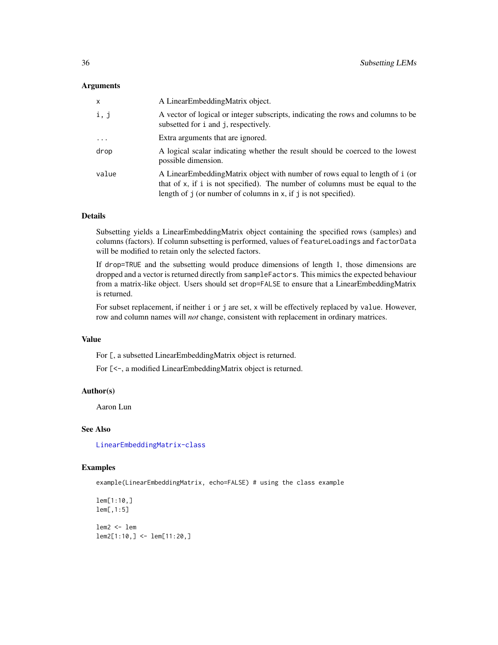#### **Arguments**

| x        | A LinearEmbeddingMatrix object.                                                                                                                                                                                                     |
|----------|-------------------------------------------------------------------------------------------------------------------------------------------------------------------------------------------------------------------------------------|
| i, j     | A vector of logical or integer subscripts, indicating the rows and columns to be<br>subsetted for i and j, respectively.                                                                                                            |
| $\cdots$ | Extra arguments that are ignored.                                                                                                                                                                                                   |
| drop     | A logical scalar indicating whether the result should be coerced to the lowest<br>possible dimension.                                                                                                                               |
| value    | A LinearEmbeddingMatrix object with number of rows equal to length of i (or<br>that of x, if i is not specified). The number of columns must be equal to the<br>length of $j$ (or number of columns in x, if $j$ is not specified). |

### Details

Subsetting yields a LinearEmbeddingMatrix object containing the specified rows (samples) and columns (factors). If column subsetting is performed, values of featureLoadings and factorData will be modified to retain only the selected factors.

If drop=TRUE and the subsetting would produce dimensions of length 1, those dimensions are dropped and a vector is returned directly from sampleFactors. This mimics the expected behaviour from a matrix-like object. Users should set drop=FALSE to ensure that a LinearEmbeddingMatrix is returned.

For subset replacement, if neither i or j are set, x will be effectively replaced by value. However, row and column names will *not* change, consistent with replacement in ordinary matrices.

#### Value

For [, a subsetted LinearEmbeddingMatrix object is returned.

For [<-, a modified LinearEmbeddingMatrix object is returned.

#### Author(s)

Aaron Lun

### See Also

[LinearEmbeddingMatrix-class](#page-14-1)

#### Examples

example(LinearEmbeddingMatrix, echo=FALSE) # using the class example

lem[1:10,] lem[,1:5] lem2 <- lem lem2[1:10,] <- lem[11:20,]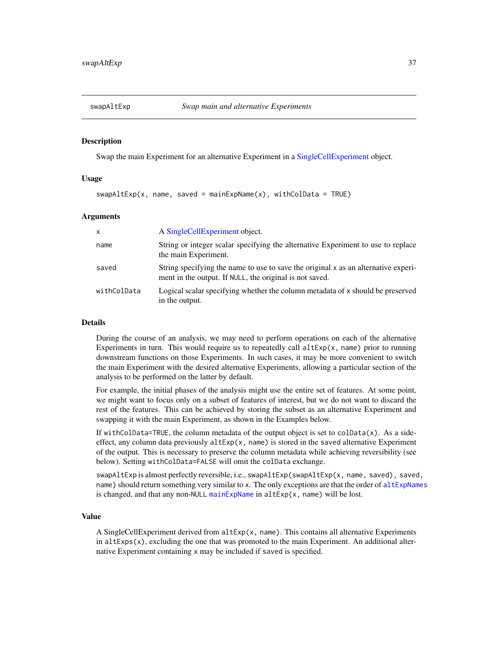<span id="page-36-1"></span><span id="page-36-0"></span>

#### Description

Swap the main Experiment for an alternative Experiment in a [SingleCellExperiment](#page-30-1) object.

#### Usage

 $swap$ AltExp(x, name, saved = mainExpName(x), withColData = TRUE)

#### Arguments

| $\mathsf{x}$ | A Single Cell Experiment object.                                                                                                              |
|--------------|-----------------------------------------------------------------------------------------------------------------------------------------------|
| name         | String or integer scalar specifying the alternative Experiment to use to replace<br>the main Experiment.                                      |
| saved        | String specifying the name to use to save the original x as an alternative experi-<br>ment in the output. If NULL, the original is not saved. |
| withColData  | Logical scalar specifying whether the column metadata of x should be preserved<br>in the output.                                              |

#### Details

During the course of an analysis, we may need to perform operations on each of the alternative Experiments in turn. This would require us to repeatedly call  $altExp(x, name)$  prior to running downstream functions on those Experiments. In such cases, it may be more convenient to switch the main Experiment with the desired alternative Experiments, allowing a particular section of the analysis to be performed on the latter by default.

For example, the initial phases of the analysis might use the entire set of features. At some point, we might want to focus only on a subset of features of interest, but we do not want to discard the rest of the features. This can be achieved by storing the subset as an alternative Experiment and swapping it with the main Experiment, as shown in the Examples below.

If withColData=TRUE, the column metadata of the output object is set to colData $(x)$ . As a sideeffect, any column data previously  $altExp(x, name)$  is stored in the saved alternative Experiment of the output. This is necessary to preserve the column metadata while achieving reversibility (see below). Setting withColData=FALSE will omit the colData exchange.

swapAltExp is almost perfectly reversible, i.e., swapAltExp(swapAltExp(x, name, saved), saved, name) should return something very similar to x. The only exceptions are that the order of [altExpNames](#page-1-2) is changed, and that any non-NULL [mainExpName](#page-1-2) in  $altExp(x, name)$  will be lost.

### Value

A SingleCellExperiment derived from  $altExp(x, name)$ . This contains all alternative Experiments in  $altExpress(x)$ , excluding the one that was promoted to the main Experiment. An additional alternative Experiment containing x may be included if saved is specified.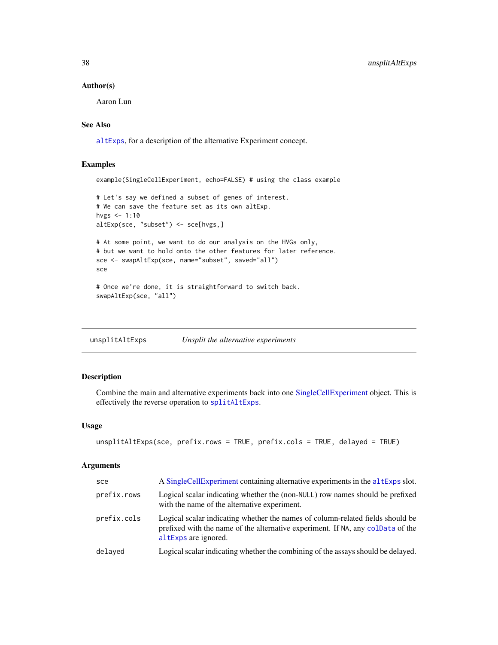#### Author(s)

Aaron Lun

### See Also

[altExps](#page-1-1), for a description of the alternative Experiment concept.

### Examples

example(SingleCellExperiment, echo=FALSE) # using the class example

# Let's say we defined a subset of genes of interest. # We can save the feature set as its own altExp. hvgs  $<-1:10$ altExp(sce, "subset") <- sce[hvgs,]

```
# At some point, we want to do our analysis on the HVGs only,
# but we want to hold onto the other features for later reference.
sce <- swapAltExp(sce, name="subset", saved="all")
sce
```
# Once we're done, it is straightforward to switch back. swapAltExp(sce, "all")

<span id="page-37-1"></span>unsplitAltExps *Unsplit the alternative experiments*

### Description

Combine the main and alternative experiments back into one [SingleCellExperiment](#page-30-1) object. This is effectively the reverse operation to [splitAltExps](#page-33-1).

#### Usage

```
unsplitAltExps(sce, prefix.rows = TRUE, prefix.cols = TRUE, delayed = TRUE)
```
### Arguments

| sce         | A SingleCellExperiment containing alternative experiments in the altExps slot.                                                                                                            |
|-------------|-------------------------------------------------------------------------------------------------------------------------------------------------------------------------------------------|
| prefix.rows | Logical scalar indicating whether the (non-NULL) row names should be prefixed<br>with the name of the alternative experiment.                                                             |
| prefix.cols | Logical scalar indicating whether the names of column-related fields should be<br>prefixed with the name of the alternative experiment. If NA, any coldata of the<br>altExps are ignored. |
| delayed     | Logical scalar indicating whether the combining of the assays should be delayed.                                                                                                          |
|             |                                                                                                                                                                                           |

<span id="page-37-0"></span>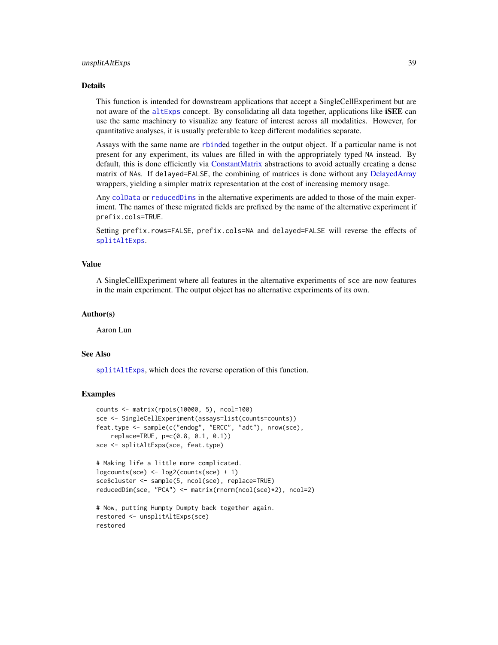### <span id="page-38-0"></span>unsplitAltExps 39

### Details

This function is intended for downstream applications that accept a SingleCellExperiment but are not aware of the [altExps](#page-1-1) concept. By consolidating all data together, applications like **iSEE** can use the same machinery to visualize any feature of interest across all modalities. However, for quantitative analyses, it is usually preferable to keep different modalities separate.

Assays with the same name are [rbind](#page-0-0)ed together in the output object. If a particular name is not present for any experiment, its values are filled in with the appropriately typed NA instead. By default, this is done efficiently via [ConstantMatrix](#page-0-0) abstractions to avoid actually creating a dense matrix of NAs. If delayed=FALSE, the combining of matrices is done without any [DelayedArray](#page-0-0) wrappers, yielding a simpler matrix representation at the cost of increasing memory usage.

Any [colData](#page-0-0) or [reducedDims](#page-17-1) in the alternative experiments are added to those of the main experiment. The names of these migrated fields are prefixed by the name of the alternative experiment if prefix.cols=TRUE.

Setting prefix.rows=FALSE, prefix.cols=NA and delayed=FALSE will reverse the effects of [splitAltExps](#page-33-1).

### Value

A SingleCellExperiment where all features in the alternative experiments of sce are now features in the main experiment. The output object has no alternative experiments of its own.

#### Author(s)

Aaron Lun

#### See Also

[splitAltExps](#page-33-1), which does the reverse operation of this function.

#### Examples

```
counts <- matrix(rpois(10000, 5), ncol=100)
sce <- SingleCellExperiment(assays=list(counts=counts))
feat.type <- sample(c("endog", "ERCC", "adt"), nrow(sce),
   replace=TRUE, p=c(0.8, 0.1, 0.1))
sce <- splitAltExps(sce, feat.type)
# Making life a little more complicated.
logcounts(sce) <- log2(counts(sce) + 1)
sce$cluster <- sample(5, ncol(sce), replace=TRUE)
reducedDim(sce, "PCA") <- matrix(rnorm(ncol(sce)*2), ncol=2)
# Now, putting Humpty Dumpty back together again.
```

```
restored <- unsplitAltExps(sce)
restored
```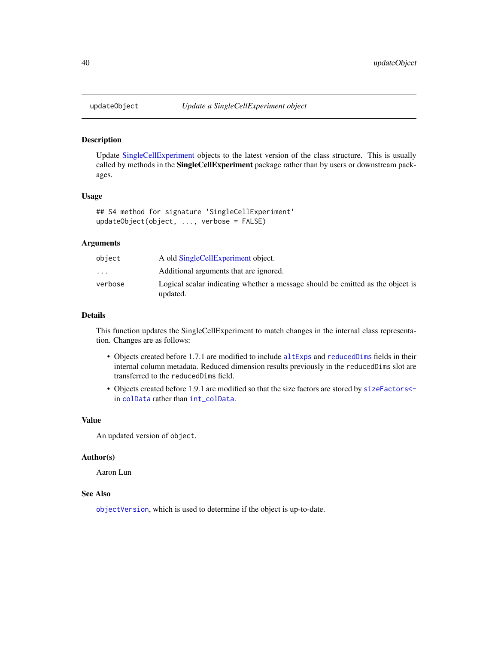#### Description

Update [SingleCellExperiment](#page-30-1) objects to the latest version of the class structure. This is usually called by methods in the **SingleCellExperiment** package rather than by users or downstream packages.

### Usage

```
## S4 method for signature 'SingleCellExperiment'
updateObject(object, ..., verbose = FALSE)
```
#### Arguments

| object                  | A old SingleCellExperiment object.                                                         |
|-------------------------|--------------------------------------------------------------------------------------------|
| $\cdot$ $\cdot$ $\cdot$ | Additional arguments that are ignored.                                                     |
| verbose                 | Logical scalar indicating whether a message should be emitted as the object is<br>updated. |

### Details

This function updates the SingleCellExperiment to match changes in the internal class representation. Changes are as follows:

- Objects created before 1.7.1 are modified to include [altExps](#page-1-1) and [reducedDims](#page-17-1) fields in their internal column metadata. Reduced dimension results previously in the reducedDims slot are transferred to the reducedDims field.
- Objects created before 1.9.1 are modified so that the size factors are stored by [sizeFactors<](#page-0-0) in [colData](#page-0-0) rather than [int\\_colData](#page-26-2).

#### Value

An updated version of object.

#### Author(s)

Aaron Lun

#### See Also

[objectVersion](#page-28-1), which is used to determine if the object is up-to-date.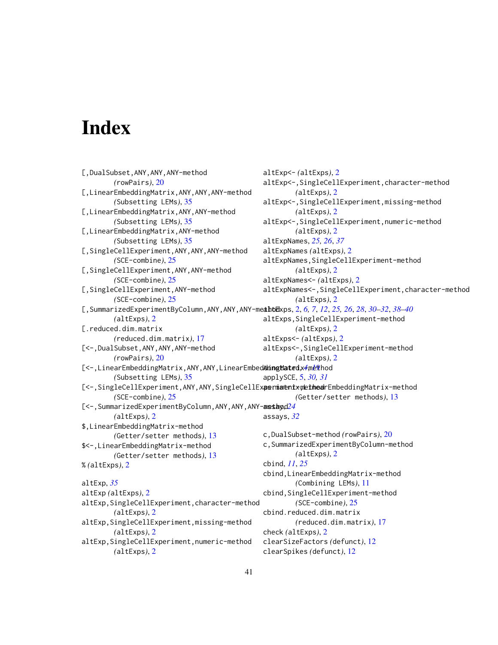# <span id="page-40-0"></span>**Index**

[,DualSubset,ANY,ANY,ANY-method *(*rowPairs*)*, [20](#page-19-0) [,LinearEmbeddingMatrix,ANY,ANY,ANY-method *(*Subsetting LEMs*)*, [35](#page-34-0) [,LinearEmbeddingMatrix,ANY,ANY-method *(*Subsetting LEMs*)*, [35](#page-34-0) [,LinearEmbeddingMatrix,ANY-method *(*Subsetting LEMs*)*, [35](#page-34-0) [,SingleCellExperiment,ANY,ANY,ANY-method *(*SCE-combine*)*, [25](#page-24-0) [,SingleCellExperiment,ANY,ANY-method *(*SCE-combine*)*, [25](#page-24-0) [,SingleCellExperiment,ANY-method *(*SCE-combine*)*, [25](#page-24-0) [,SummarizedExperimentByColumn,ANY,ANY,ANY-method altExps, [2,](#page-1-0) *[6,](#page-5-0) [7](#page-6-0)*, *[12](#page-11-0)*, *[25,](#page-24-0) [26](#page-25-0)*, *[28](#page-27-0)*, *[30](#page-29-0)[–32](#page-31-0)*, *[38](#page-37-0)[–40](#page-39-0) (*altExps*)*, [2](#page-1-0) [.reduced.dim.matrix *(*reduced.dim.matrix*)*, [17](#page-16-0) [<-,DualSubset,ANY,ANY,ANY-method *(*rowPairs*)*, [20](#page-19-0) [<-,LinearEmbeddingMatrix,ANY,ANY,LinearEmbed**&ingMated**x4[met](#page-18-0)hod *(*Subsetting LEMs*)*, [35](#page-34-0) [<-,SingleCellExperiment,ANY,ANY,SingleCellExpermiamentxymethoddingMatrix-method *(*SCE-combine*)*, [25](#page-24-0) [<-,SummarizedExperimentByColumn,ANY,ANY,ANY-anestangd[24](#page-23-0) *(*altExps*)*, [2](#page-1-0) \$,LinearEmbeddingMatrix-method *(*Getter/setter methods*)*, [13](#page-12-0) \$<-,LinearEmbeddingMatrix-method *(*Getter/setter methods*)*, [13](#page-12-0) % *(*altExps*)*, [2](#page-1-0) altExp, *[35](#page-34-0)* altExp *(*altExps*)*, [2](#page-1-0) altExp,SingleCellExperiment,character-method *(*altExps*)*, [2](#page-1-0) altExp,SingleCellExperiment,missing-method *(*altExps*)*, [2](#page-1-0) altExp,SingleCellExperiment,numeric-method *(*altExps*)*, [2](#page-1-0) altExp<- *(*altExps*)*, [2](#page-1-0) altExp<-,SingleCellExperiment,character-method *(*altExps*)*, [2](#page-1-0) altExp<-,SingleCellExperiment,missing-method *(*altExps*)*, [2](#page-1-0) altExp<-,SingleCellExperiment,numeric-method *(*altExps*)*, [2](#page-1-0) altExpNames, *[25,](#page-24-0) [26](#page-25-0)*, *[37](#page-36-0)* altExpNames *(*altExps*)*, [2](#page-1-0) altExpNames,SingleCellExperiment-method *(*altExps*)*, [2](#page-1-0) altExpNames<- *(*altExps*)*, [2](#page-1-0) altExpNames<-,SingleCellExperiment,character-method *(*altExps*)*, [2](#page-1-0) altExps,SingleCellExperiment-method *(*altExps*)*, [2](#page-1-0) altExps<- *(*altExps*)*, [2](#page-1-0) altExps<-,SingleCellExperiment-method *(*altExps*)*, [2](#page-1-0) applySCE, [5,](#page-4-0) *[30,](#page-29-0) [31](#page-30-0) (*Getter/setter methods*)*, [13](#page-12-0) assays, *[32](#page-31-0)* c,DualSubset-method *(*rowPairs*)*, [20](#page-19-0) c,SummarizedExperimentByColumn-method *(*altExps*)*, [2](#page-1-0) cbind, *[11](#page-10-0)*, *[25](#page-24-0)* cbind,LinearEmbeddingMatrix-method *(*Combining LEMs*)*, [11](#page-10-0) cbind, SingleCellExperiment-method *(*SCE-combine*)*, [25](#page-24-0) cbind.reduced.dim.matrix *(*reduced.dim.matrix*)*, [17](#page-16-0) check *(*altExps*)*, [2](#page-1-0) clearSizeFactors *(*defunct*)*, [12](#page-11-0) clearSpikes *(*defunct*)*, [12](#page-11-0)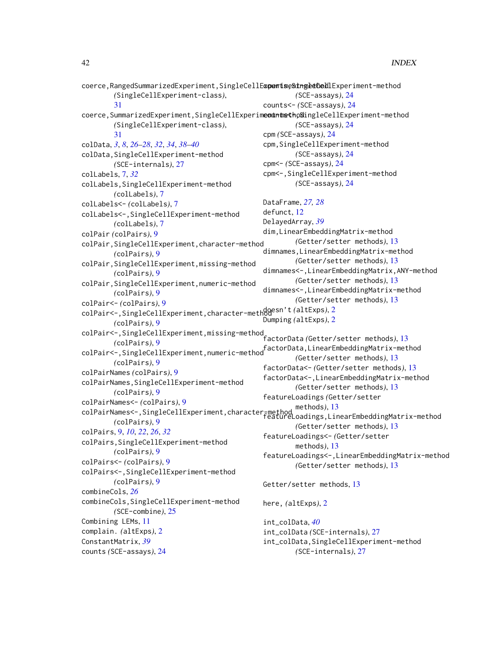```
coerce,RangedSummarizedExperiment,SingleCellExpertiseSthgeedCedlExperiment-method
        (SingleCellExperiment-class),
        31
coerce,SummarizedExperiment,SingleCellExperimentntethoglingleCellExperiment-method
        (SingleCellExperiment-class),
        31
colData, 3, 8, 26–28, 32, 34, 38–40
colData,SingleCellExperiment-method
        (SCE-internals), 27
colLabels, 7, 32
colLabels,SingleCellExperiment-method
        (colLabels), 7
colLabels<- (colLabels), 7
colLabels<-,SingleCellExperiment-method
        (colLabels), 7
colPair (colPairs), 9
colPair,SingleCellExperiment,character-method
        (colPairs), 9
colPair,SingleCellExperiment,missing-method
        (colPairs), 9
colPair,SingleCellExperiment,numeric-method
        (colPairs), 9
colPair<- (colPairs), 9
colPair<-,SingleCellExperiment,character-method
doesn't (altExps), 2
        (colPairs), 9
colPair<-,SingleCellExperiment,missing-method
factorData (Getter/setter methods), 13
        (colPairs), 9
colPair<-,SingleCellExperiment,numeric-method<br>
colPair<-,SingleCellExperiment,numeric-method
        (colPairs), 9
colPairNames (colPairs), 9
colPairNames,SingleCellExperiment-method
        (colPairs), 9
colPairNames<- (colPairs), 9
colPairNames<-,SingleCellExperiment,character-method
methods), 13
        (colPairs), 9
colPairs, 9, 10, 22, 26, 32
colPairs,SingleCellExperiment-method
        (colPairs), 9
colPairs<- (colPairs), 9
colPairs<-,SingleCellExperiment-method
        (colPairs), 9
combineCols, 26
combineCols,SingleCellExperiment-method
        (SCE-combine), 25
Combining LEMs, 11
complain. (altExps), 2
ConstantMatrix, 39
counts (SCE-assays), 24
                                                        (SCE-assays), 24
                                                counts<- (SCE-assays), 24
                                                        (SCE-assays), 24
                                                cpm (SCE-assays), 24
                                                cpm,SingleCellExperiment-method
                                                        (SCE-assays), 24
                                                cpm<- (SCE-assays), 24
                                                cpm<-,SingleCellExperiment-method
                                                        (SCE-assays), 24
                                               DataFrame, 27, 28
                                               defunct, 12
                                               DelayedArray, 39
                                               dim,LinearEmbeddingMatrix-method
                                                        (Getter/setter methods), 13
                                                dimnames,LinearEmbeddingMatrix-method
                                                        (Getter/setter methods), 13
                                                dimnames<-,LinearEmbeddingMatrix,ANY-method
                                                        (Getter/setter methods), 13
                                                dimnames<-,LinearEmbeddingMatrix-method
                                                        (Getter/setter methods), 13
                                                Dumping (altExps), 2
                                                        (Getter/setter methods), 13
                                                factorData<- (Getter/setter methods), 13
                                                factorData<-,LinearEmbeddingMatrix-method
                                                        (Getter/setter methods), 13
                                                featureLoadings (Getter/setter
                                                featureLoadings,LinearEmbeddingMatrix-method
                                                        (Getter/setter methods), 13
                                                featureLoadings<- (Getter/setter
                                                        methods), 13
                                                featureLoadings<-,LinearEmbeddingMatrix-method
                                                        (Getter/setter methods), 13
                                               Getter/setter methods, 13
                                                here, (altExps), 2
                                                int_colData, 40
                                                int_colData (SCE-internals), 27
                                                int_colData,SingleCellExperiment-method
                                                        (SCE-internals), 27
```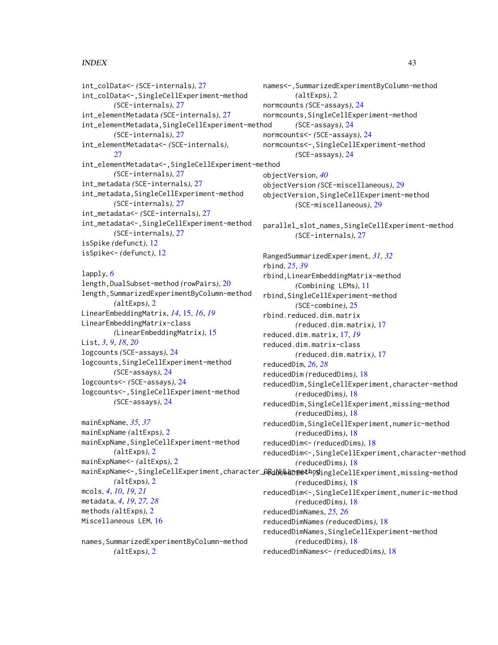### $I<sub>N</sub>$  and  $I<sub>3</sub>$  and  $I<sub>43</sub>$

```
int_colData<- (SCE-internals), 27
int_colData<-,SingleCellExperiment-method
        (SCE-internals), 27
int_elementMetadata (SCE-internals), 27
int_elementMetadata,SingleCellExperiment-method
        (SCE-internals), 27
int_elementMetadata<- (SCE-internals),
        27
int_elementMetadata<-,SingleCellExperiment-method
        (SCE-internals), 27
int_metadata (SCE-internals), 27
int_metadata,SingleCellExperiment-method
        (SCE-internals), 27
int_metadata<- (SCE-internals), 27
int_metadata<-,SingleCellExperiment-method
        (SCE-internals), 27
isSpike (defunct), 12
isSpike<- (defunct), 12
```
lapply, *[6](#page-5-0)* length,DualSubset-method *(*rowPairs*)*, [20](#page-19-0) length,SummarizedExperimentByColumn-method *(*altExps*)*, [2](#page-1-0) LinearEmbeddingMatrix, *[14](#page-13-0)*, [15,](#page-14-0) *[16](#page-15-0)*, *[19](#page-18-0)* LinearEmbeddingMatrix-class *(*LinearEmbeddingMatrix*)*, [15](#page-14-0) List, *[3](#page-2-0)*, *[9](#page-8-0)*, *[18](#page-17-0)*, *[20](#page-19-0)* logcounts *(*SCE-assays*)*, [24](#page-23-0) logcounts,SingleCellExperiment-method *(*SCE-assays*)*, [24](#page-23-0) logcounts<- *(*SCE-assays*)*, [24](#page-23-0) logcounts<-,SingleCellExperiment-method *(*SCE-assays*)*, [24](#page-23-0)

mainExpName, *[35](#page-34-0)*, *[37](#page-36-0)* mainExpName *(*altExps*)*, [2](#page-1-0) mainExpName,SingleCellExperiment-method *(*altExps*)*, [2](#page-1-0) mainExpName<- *(*altExps*)*, [2](#page-1-0) *(*altExps*)*, [2](#page-1-0) mcols, *[4](#page-3-0)*, *[10](#page-9-0)*, *[19](#page-18-0)*, *[21](#page-20-0)* metadata, *[4](#page-3-0)*, *[19](#page-18-0)*, *[27,](#page-26-0) [28](#page-27-0)* methods *(*altExps*)*, [2](#page-1-0) Miscellaneous LEM, [16](#page-15-0)

names,SummarizedExperimentByColumn-method *(*altExps*)*, [2](#page-1-0)

mainExpName<-,SingleCellExperiment,character\_**0&dN&&dDime**tho**g**ingleCellExperiment,missing-method names<-,SummarizedExperimentByColumn-method *(*altExps*)*, [2](#page-1-0) normcounts *(*SCE-assays*)*, [24](#page-23-0) normcounts,SingleCellExperiment-method *(*SCE-assays*)*, [24](#page-23-0) normcounts<- *(*SCE-assays*)*, [24](#page-23-0) normcounts<-,SingleCellExperiment-method *(*SCE-assays*)*, [24](#page-23-0) objectVersion, *[40](#page-39-0)* objectVersion *(*SCE-miscellaneous*)*, [29](#page-28-0) objectVersion,SingleCellExperiment-method *(*SCE-miscellaneous*)*, [29](#page-28-0) parallel\_slot\_names,SingleCellExperiment-method *(*SCE-internals*)*, [27](#page-26-0) RangedSummarizedExperiment, *[31,](#page-30-0) [32](#page-31-0)* rbind, *[25](#page-24-0)*, *[39](#page-38-0)* rbind,LinearEmbeddingMatrix-method *(*Combining LEMs*)*, [11](#page-10-0) rbind,SingleCellExperiment-method *(*SCE-combine*)*, [25](#page-24-0) rbind.reduced.dim.matrix *(*reduced.dim.matrix*)*, [17](#page-16-0) reduced.dim.matrix, [17,](#page-16-0) *[19](#page-18-0)* reduced.dim.matrix-class *(*reduced.dim.matrix*)*, [17](#page-16-0) reducedDim, *[26](#page-25-0)*, *[28](#page-27-0)* reducedDim *(*reducedDims*)*, [18](#page-17-0) reducedDim,SingleCellExperiment,character-method *(*reducedDims*)*, [18](#page-17-0) reducedDim,SingleCellExperiment,missing-method *(*reducedDims*)*, [18](#page-17-0) reducedDim,SingleCellExperiment,numeric-method *(*reducedDims*)*, [18](#page-17-0) reducedDim<- *(*reducedDims*)*, [18](#page-17-0) reducedDim<-,SingleCellExperiment,character-method *(*reducedDims*)*, [18](#page-17-0) *(*reducedDims*)*, [18](#page-17-0) reducedDim<-,SingleCellExperiment,numeric-method *(*reducedDims*)*, [18](#page-17-0) reducedDimNames, *[25,](#page-24-0) [26](#page-25-0)* reducedDimNames *(*reducedDims*)*, [18](#page-17-0) reducedDimNames,SingleCellExperiment-method *(*reducedDims*)*, [18](#page-17-0) reducedDimNames<- *(*reducedDims*)*, [18](#page-17-0)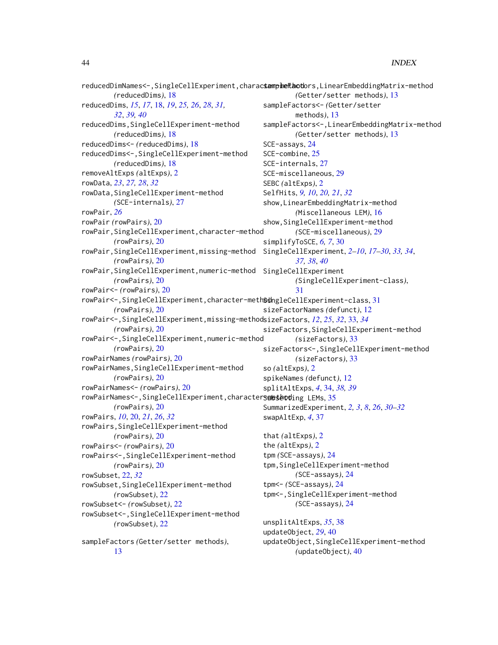```
reducedDimNames<-,SingleCellExperiment,charactamphefthotors,LinearEmbeddingMatrix-method
        (reducedDims), 18
reducedDims, 15, 17, 18, 19, 25, 26, 28, 31,
        32, 39, 40
reducedDims,SingleCellExperiment-method
        (reducedDims), 18
reducedDims<- (reducedDims), 18
reducedDims<-,SingleCellExperiment-method
        (reducedDims), 18
removeAltExps (altExps), 2
rowData, 23, 27, 28, 32
rowData,SingleCellExperiment-method
        (SCE-internals), 27
rowPair, 26
rowPair (rowPairs), 20
rowPair,SingleCellExperiment,character-method
        (rowPairs), 20
rowPair,SingleCellExperiment,missing-method
SingleCellExperiment, 2–10, 17–30, 33, 34,
        (rowPairs), 20
rowPair,SingleCellExperiment,numeric-method
SingleCellExperiment
        (rowPairs), 20
rowPair<- (rowPairs), 20
31
        (rowPairs), 20
rowPair<-,SingleCellExperiment,missing-method
sizeFactors, 12, 25, 32, 33, 34
        (rowPairs), 20
rowPair<-,SingleCellExperiment,numeric-method
        (rowPairs), 20
rowPairNames (rowPairs), 20
rowPairNames,SingleCellExperiment-method
        (rowPairs), 20
rowPairNames<- (rowPairs), 20
rowPairNames<-,SingleCellExperiment,characterSmeseotd35
        (rowPairs), 20
rowPairs, 10, 20, 21, 26, 32
rowPairs,SingleCellExperiment-method
        (rowPairs), 20
rowPairs<- (rowPairs), 20
rowPairs<-,SingleCellExperiment-method
        (rowPairs), 20
rowSubset, 22, 32
rowSubset,SingleCellExperiment-method
        (rowSubset), 22
rowSubset<- (rowSubset), 22
rowSubset<-,SingleCellExperiment-method
        (rowSubset), 22
sampleFactors (Getter/setter methods),
                                                       (Getter/setter methods), 13
                                              sampleFactors<- (Getter/setter
                                                       methods), 13
                                               sampleFactors<-,LinearEmbeddingMatrix-method
                                                       (Getter/setter methods), 13
                                              SCE-assays, 24
                                              SCE-combine, 25
                                              SCE-internals, 27
                                              SCE-miscellaneous, 29
                                              SEBC (altExps), 2
                                              SelfHits, 9, 10, 20, 21, 32
                                              show,LinearEmbeddingMatrix-method
                                                       (Miscellaneous LEM), 16
                                              show,SingleCellExperiment-method
                                                       (SCE-miscellaneous), 29
                                               simplifyToSCE, 6, 7, 30
                                                       37, 38, 40
                                                       (SingleCellExperiment-class),
                                                       31
                                              sizeFactorNames (defunct), 12
                                              sizeFactors,SingleCellExperiment-method
                                                       (sizeFactors), 33
                                              sizeFactors<-,SingleCellExperiment-method
                                                       (sizeFactors), 33
                                              so (altExps), 2
                                               spikeNames (defunct), 12
                                               splitAltExps, 4, 34, 38, 39
                                               SummarizedExperiment, 2, 3, 8, 26, 30–32
                                               swapAltExp, 4, 37
                                               that (altExps), 2
                                               the (altExps), 2
                                               tpm (SCE-assays), 24
                                               tpm,SingleCellExperiment-method
                                                       (SCE-assays), 24
                                               tpm<- (SCE-assays), 24
                                               tpm<-,SingleCellExperiment-method
                                                       (SCE-assays), 24
                                              unsplitAltExps, 35, 38
                                              updateObject, 29, 40
                                              updateObject,SingleCellExperiment-method
                                                       (updateObject), 40
```